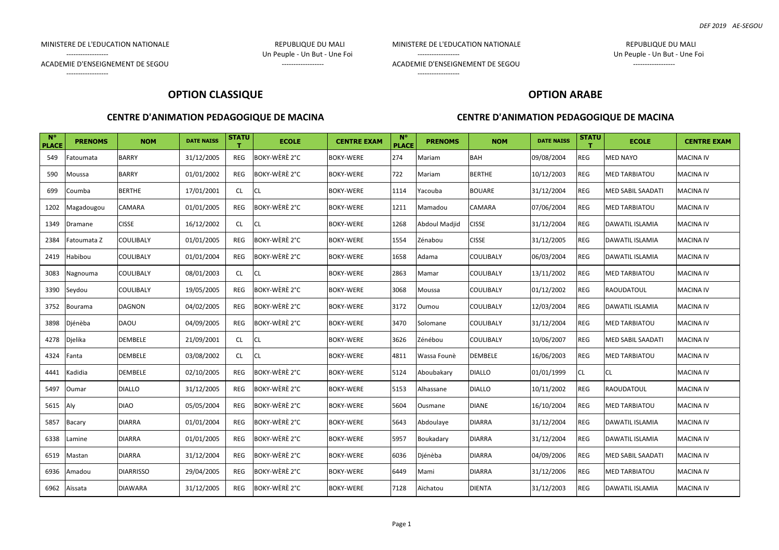MINISTERE DE L'EDUCATION NATIONALE **Australia en la constantino de la constantino de la constantino de la constantino de la constantino de la constantino de la constantino de la constantino de la constantino de la constant** 

------------------ Un Peuple - Un But - Une Foi

------------------

MINISTERE DE L'EDUCATION NATIONALE REPUBLIQUE DU MALI

ACADEMIE D'ENSEIGNEMENT DE SEGOU ACADEMIENT EN ENGLISHE EN ENGLISHE EN ENGLISHE EN ENGLISHE EN ENGLISHE EN EN

------------------ Un Peuple - Un But - Une Foi

ACADEMIE D'ENSEIGNEMENT DE SEGOU ACADEMIE D'ENSEIGNEMENT DE SEGOU ------------------

# **OPTION CLASSIQUE**

#### **CENTRE D'ANIMATION PEDAGOGIQUE DE MACINA**

# **OPTION ARABE**

| $N^{\circ}$<br><b>PLACE</b> | <b>PRENOMS</b> | <b>NOM</b>       | <b>DATE NAISS</b> | <b>STATU</b> | <b>ECOLE</b>         | <b>CENTRE EXAM</b> | $N^{\circ}$<br><b>PLACE</b> | <b>PRENOMS</b> | <b>NOM</b>       | <b>DATE NAISS</b> | <b>STATU</b> | <b>ECOLE</b>             | <b>CENTRE EXAM</b> |
|-----------------------------|----------------|------------------|-------------------|--------------|----------------------|--------------------|-----------------------------|----------------|------------------|-------------------|--------------|--------------------------|--------------------|
| 549                         | Fatoumata      | <b>BARRY</b>     | 31/12/2005        | <b>REG</b>   | BOKY-WÈRÈ 2°C        | <b>BOKY-WERE</b>   | 274                         | Mariam         | <b>BAH</b>       | 09/08/2004        | REG          | MED NAYO                 | <b>MACINA IV</b>   |
| 590                         | Moussa         | <b>BARRY</b>     | 01/01/2002        | REG          | <b>BOKY-WÈRÈ 2°C</b> | <b>BOKY-WERE</b>   | 722                         | Mariam         | <b>BERTHE</b>    | 10/12/2003        | <b>REG</b>   | <b>MED TARBIATOU</b>     | <b>MACINA IV</b>   |
| 699                         | Coumba         | <b>BERTHE</b>    | 17/01/2001        | CL           | <b>CL</b>            | <b>BOKY-WERE</b>   | 1114                        | Yacouba        | <b>BOUARE</b>    | 31/12/2004        | REG          | MED SABIL SAADATI        | <b>MACINA IV</b>   |
| 1202                        | Magadougou     | CAMARA           | 01/01/2005        | REG          | BOKY-WÈRÈ 2°C        | <b>BOKY-WERE</b>   | 1211                        | Mamadou        | CAMARA           | 07/06/2004        | REG          | <b>MED TARBIATOU</b>     | <b>MACINA IV</b>   |
| 1349                        | Dramane        | <b>CISSE</b>     | 16/12/2002        | CL.          | <b>CL</b>            | <b>BOKY-WERE</b>   | 1268                        | Abdoul Madjid  | <b>CISSE</b>     | 31/12/2004        | <b>REG</b>   | DAWATIL ISLAMIA          | <b>MACINA IV</b>   |
| 2384                        | Fatoumata Z    | COULIBALY        | 01/01/2005        | REG          | BOKY-WÈRÈ 2°C        | <b>BOKY-WERE</b>   | 1554                        | Zénabou        | <b>CISSE</b>     | 31/12/2005        | REG          | DAWATIL ISLAMIA          | <b>MACINA IV</b>   |
| 2419                        | Habibou        | COULIBALY        | 01/01/2004        | REG          | <b>BOKY-WÈRÈ 2°C</b> | <b>BOKY-WERE</b>   | 1658                        | Adama          | <b>COULIBALY</b> | 06/03/2004        | <b>REG</b>   | <b>DAWATIL ISLAMIA</b>   | <b>MACINA IV</b>   |
| 3083                        | Nagnouma       | COULIBALY        | 08/01/2003        | CL           | <b>CL</b>            | <b>BOKY-WERE</b>   | 2863                        | Mamar          | <b>COULIBALY</b> | 13/11/2002        | <b>REG</b>   | <b>MED TARBIATOU</b>     | <b>MACINA IV</b>   |
| 3390                        | Seydou         | COULIBALY        | 19/05/2005        | REG          | <b>BOKY-WÈRÈ 2°C</b> | <b>BOKY-WERE</b>   | 3068                        | Moussa         | COULIBALY        | 01/12/2002        | REG          | RAOUDATOUL               | <b>MACINA IV</b>   |
| 3752                        | Bourama        | <b>DAGNON</b>    | 04/02/2005        | REG          | BOKY-WÈRÈ 2°C        | <b>BOKY-WERE</b>   | 3172                        | Oumou          | COULIBALY        | 12/03/2004        | <b>REG</b>   | <b>DAWATIL ISLAMIA</b>   | <b>MACINA IV</b>   |
| 3898                        | Djénèba        | DAOU             | 04/09/2005        | <b>REG</b>   | <b>BOKY-WÈRÈ 2°C</b> | <b>BOKY-WERE</b>   | 3470                        | Solomane       | COULIBALY        | 31/12/2004        | REG          | MED TARBIATOU            | <b>MACINA IV</b>   |
| 4278                        | Djelika        | DEMBELE          | 21/09/2001        | <b>CL</b>    | <b>CL</b>            | <b>BOKY-WERE</b>   | 3626                        | Zénébou        | COULIBALY        | 10/06/2007        | REG          | <b>MED SABIL SAADATI</b> | <b>MACINA IV</b>   |
| 4324                        | Fanta          | DEMBELE          | 03/08/2002        | CL           | <b>CL</b>            | <b>BOKY-WERE</b>   | 4811                        | Wassa Founè    | <b>DEMBELE</b>   | 16/06/2003        | <b>REG</b>   | <b>MED TARBIATOU</b>     | <b>MACINA IV</b>   |
| 4441                        | Kadidia        | DEMBELE          | 02/10/2005        | REG          | BOKY-WÈRÈ 2°C        | <b>BOKY-WERE</b>   | 5124                        | Aboubakary     | <b>DIALLO</b>    | 01/01/1999        | CL           | <b>CL</b>                | <b>MACINA IV</b>   |
| 5497                        | Oumar          | <b>DIALLO</b>    | 31/12/2005        | REG          | BOKY-WÈRÈ 2°C        | <b>BOKY-WERE</b>   | 5153                        | Alhassane      | <b>DIALLO</b>    | 10/11/2002        | <b>REG</b>   | RAOUDATOUL               | <b>MACINA IV</b>   |
| 5615                        | Aly            | <b>DIAO</b>      | 05/05/2004        | REG          | BOKY-WÈRÈ 2°C        | <b>BOKY-WERE</b>   | 5604                        | Ousmane        | <b>DIANE</b>     | 16/10/2004        | REG          | MED TARBIATOU            | <b>MACINA IV</b>   |
| 5857                        | Bacary         | <b>DIARRA</b>    | 01/01/2004        | REG          | BOKY-WÈRÈ 2°C        | <b>BOKY-WERE</b>   | 5643                        | Abdoulaye      | <b>DIARRA</b>    | 31/12/2004        | REG          | <b>DAWATIL ISLAMIA</b>   | <b>MACINA IV</b>   |
| 6338                        | Lamine         | <b>DIARRA</b>    | 01/01/2005        | REG          | BOKY-WÈRÈ 2°C        | <b>BOKY-WERE</b>   | 5957                        | Boukadary      | <b>DIARRA</b>    | 31/12/2004        | <b>REG</b>   | DAWATIL ISLAMIA          | <b>MACINA IV</b>   |
| 6519                        | Mastan         | <b>DIARRA</b>    | 31/12/2004        | <b>REG</b>   | BOKY-WÈRÈ 2°C        | <b>BOKY-WERE</b>   | 6036                        | Djénèba        | <b>DIARRA</b>    | 04/09/2006        | REG          | <b>MED SABIL SAADATI</b> | <b>MACINA IV</b>   |
| 6936                        | Amadou         | <b>DIARRISSO</b> | 29/04/2005        | REG          | BOKY-WÈRÈ 2°C        | <b>BOKY-WERE</b>   | 6449                        | Mami           | <b>DIARRA</b>    | 31/12/2006        | REG          | <b>MED TARBIATOU</b>     | <b>MACINA IV</b>   |
| 6962                        | Aïssata        | <b>DIAWARA</b>   | 31/12/2005        | REG          | BOKY-WÈRÈ 2°C        | <b>BOKY-WERE</b>   | 7128                        | Aïchatou       | <b>DIENTA</b>    | 31/12/2003        | REG          | <b>DAWATIL ISLAMIA</b>   | <b>MACINA IV</b>   |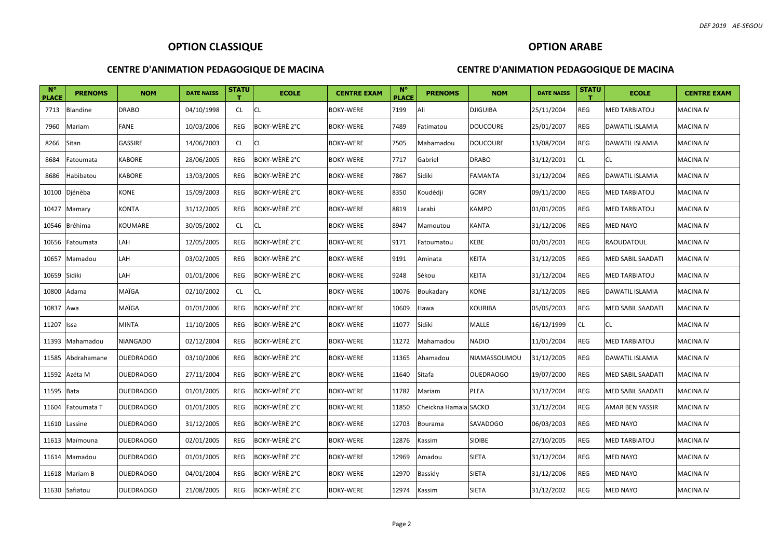## **OPTION ARABE**

#### **CENTRE D'ANIMATION PEDAGOGIQUE DE MACINA**

| $N^{\circ}$<br><b>PLACE</b> | <b>PRENOMS</b> | <b>NOM</b>       | <b>DATE NAISS</b> | <b>STATU</b><br>т. | <b>ECOLE</b>  | <b>CENTRE EXAM</b> | $N^{\circ}$<br><b>PLACE</b> | <b>PRENOMS</b>        | <b>NOM</b>       | <b>DATE NAISS</b> | <b>STATU</b><br>т | <b>ECOLE</b>         | <b>CENTRE EXAM</b> |
|-----------------------------|----------------|------------------|-------------------|--------------------|---------------|--------------------|-----------------------------|-----------------------|------------------|-------------------|-------------------|----------------------|--------------------|
| 7713                        | Blandine       | <b>DRABO</b>     | 04/10/1998        | CL                 | <b>CL</b>     | <b>BOKY-WERE</b>   | 7199                        | Ali                   | <b>DJIGUIBA</b>  | 25/11/2004        | REG               | <b>MED TARBIATOU</b> | <b>MACINA IV</b>   |
| 7960                        | Mariam         | FANE             | 10/03/2006        | REG                | BOKY-WÈRÈ 2°C | <b>BOKY-WERE</b>   | 7489                        | Fatimatou             | <b>DOUCOURE</b>  | 25/01/2007        | REG               | DAWATIL ISLAMIA      | <b>MACINA IV</b>   |
| 8266                        | Sitan          | GASSIRE          | 14/06/2003        | CL                 | <b>CL</b>     | <b>BOKY-WERE</b>   | 7505                        | Mahamadou             | <b>DOUCOURE</b>  | 13/08/2004        | REG               | DAWATIL ISLAMIA      | <b>MACINA IV</b>   |
| 8684                        | Fatoumata      | KABORE           | 28/06/2005        | <b>REG</b>         | BOKY-WÈRÈ 2°C | BOKY-WERE          | 7717                        | Gabriel               | DRABO            | 31/12/2001        | CL.               | CL                   | <b>MACINA IV</b>   |
| 8686                        | Habibatou      | KABORE           | 13/03/2005        | REG                | BOKY-WÈRÈ 2°C | <b>BOKY-WERE</b>   | 7867                        | Sidiki                | FAMANTA          | 31/12/2004        | REG               | DAWATIL ISLAMIA      | MACINA IV          |
| 10100                       | Djénèba        | KONE             | 15/09/2003        | <b>REG</b>         | BOKY-WÈRÈ 2°C | <b>BOKY-WERE</b>   | 8350                        | Koudédji              | GORY             | 09/11/2000        | REG               | MED TARBIATOU        | <b>MACINA IV</b>   |
| 10427                       | Mamary         | KONTA            | 31/12/2005        | REG                | BOKY-WÈRÈ 2°C | <b>BOKY-WERE</b>   | 8819                        | Larabi                | KAMPO            | 01/01/2005        | REG               | MED TARBIATOU        | <b>MACINA IV</b>   |
| 10546                       | Bréhima        | KOUMARE          | 30/05/2002        | CL                 | <b>CL</b>     | <b>BOKY-WERE</b>   | 8947                        | Mamoutou              | KANTA            | 31/12/2006        | REG               | MED NAYO             | <b>MACINA IV</b>   |
| 10656                       | Fatoumata      | LAH              | 12/05/2005        | REG                | BOKY-WÈRÈ 2°C | <b>BOKY-WERE</b>   | 9171                        | Fatoumatou            | KEBE             | 01/01/2001        | REG               | RAOUDATOUL           | <b>MACINA IV</b>   |
| 10657                       | Mamadou        | LAH              | 03/02/2005        | <b>REG</b>         | BOKY-WÈRÈ 2°C | BOKY-WERE          | 9191                        | Aminata               | KEITA            | 31/12/2005        | REG               | MED SABIL SAADATI    | <b>MACINA IV</b>   |
| 10659                       | Sidiki         | LAH              | 01/01/2006        | REG                | BOKY-WÈRÈ 2°C | <b>BOKY-WERE</b>   | 9248                        | Sékou                 | KEITA            | 31/12/2004        | REG               | MED TARBIATOU        | <b>MACINA IV</b>   |
| 10800                       | Adama          | MAÏGA            | 02/10/2002        | CL                 | <b>CL</b>     | <b>BOKY-WERE</b>   | 10076                       | Boukadary             | KONE             | 31/12/2005        | REG               | DAWATIL ISLAMIA      | <b>MACINA IV</b>   |
| 10837                       | Awa            | MAÏGA            | 01/01/2006        | REG                | BOKY-WÈRÈ 2°C | <b>BOKY-WERE</b>   | 10609                       | Hawa                  | KOURIBA          | 05/05/2003        | REG               | MED SABIL SAADATI    | <b>MACINA IV</b>   |
| 11207                       | Issa           | <b>MINTA</b>     | 11/10/2005        | <b>REG</b>         | BOKY-WÈRÈ 2°C | <b>BOKY-WERE</b>   | 11077                       | Sidiki                | MALLE            | 16/12/1999        | CL.               | CL                   | <b>MACINA IV</b>   |
| 11393                       | Mahamadou      | <b>NIANGADO</b>  | 02/12/2004        | REG                | BOKY-WÈRÈ 2°C | <b>BOKY-WERE</b>   | 11272                       | Mahamadou             | <b>NADIO</b>     | 11/01/2004        | REG               | MED TARBIATOU        | <b>MACINA IV</b>   |
| 11585                       | Abdrahamane    | OUEDRAOGO        | 03/10/2006        | REG                | BOKY-WÈRÈ 2°C | <b>BOKY-WERE</b>   | 11365                       | Ahamadou              | NIAMASSOUMOU     | 31/12/2005        | REG               | DAWATIL ISLAMIA      | <b>MACINA IV</b>   |
|                             | 11592 Azéta M  | <b>OUEDRAOGO</b> | 27/11/2004        | REG                | BOKY-WÈRÈ 2°C | <b>BOKY-WERE</b>   | 11640                       | Sitafa                | <b>OUEDRAOGO</b> | 19/07/2000        | <b>REG</b>        | MED SABIL SAADATI    | <b>MACINA IV</b>   |
| 11595 Bata                  |                | OUEDRAOGO        | 01/01/2005        | <b>REG</b>         | BOKY-WÈRÈ 2°C | <b>BOKY-WERE</b>   | 11782                       | Mariam                | PLEA             | 31/12/2004        | REG               | MED SABIL SAADATI    | <b>MACINA IV</b>   |
| 11604                       | Fatoumata T    | <b>OUEDRAOGO</b> | 01/01/2005        | <b>REG</b>         | BOKY-WÈRÈ 2°C | <b>BOKY-WERE</b>   | 11850                       | Cheickna Hamala SACKO |                  | 31/12/2004        | REG               | AMAR BEN YASSIR      | <b>MACINA IV</b>   |
|                             | 11610 Lassine  | <b>OUEDRAOGO</b> | 31/12/2005        | <b>REG</b>         | BOKY-WÈRÈ 2°C | <b>BOKY-WERE</b>   | 12703                       | Bourama               | <b>SAVADOGO</b>  | 06/03/2003        | <b>REG</b>        | MED NAYO             | <b>MACINA IV</b>   |
| 11613                       | Maïmouna       | <b>OUEDRAOGO</b> | 02/01/2005        | REG                | BOKY-WÈRÈ 2°C | <b>BOKY-WERE</b>   | 12876                       | Kassim                | <b>SIDIBE</b>    | 27/10/2005        | <b>REG</b>        | MED TARBIATOU        | <b>MACINA IV</b>   |
| 11614                       | Mamadou        | <b>OUEDRAOGO</b> | 01/01/2005        | <b>REG</b>         | BOKY-WÈRÈ 2°C | <b>BOKY-WERE</b>   | 12969                       | Amadou                | <b>SIETA</b>     | 31/12/2004        | <b>REG</b>        | MED NAYO             | <b>MACINA IV</b>   |
|                             | 11618 Mariam B | <b>OUEDRAOGO</b> | 04/01/2004        | <b>REG</b>         | BOKY-WÈRÈ 2°C | <b>BOKY-WERE</b>   | 12970                       | Bassidy               | <b>SIETA</b>     | 31/12/2006        | REG               | <b>MED NAYO</b>      | <b>MACINA IV</b>   |
|                             | 11630 Safiatou | <b>OUEDRAOGO</b> | 21/08/2005        | REG                | BOKY-WÈRÈ 2°C | BOKY-WERE          | 12974                       | Kassim                | <b>SIETA</b>     | 31/12/2002        | REG               | <b>MED NAYO</b>      | <b>MACINA IV</b>   |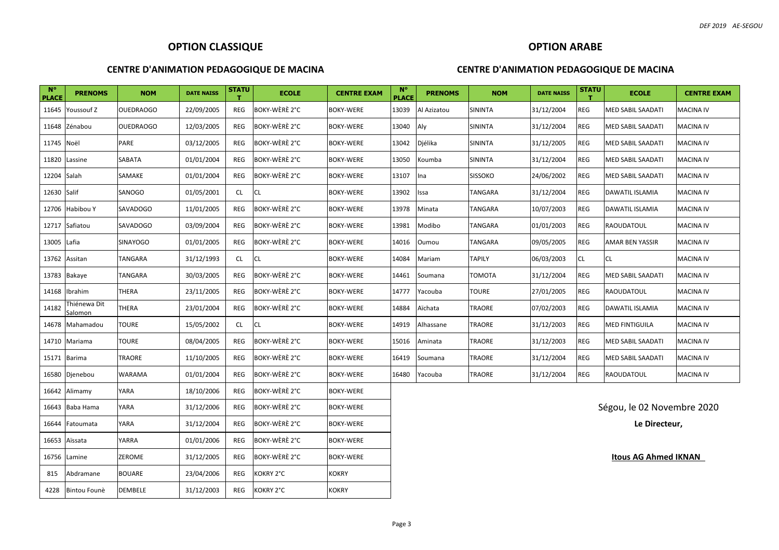#### **CENTRE D'ANIMATION PEDAGOGIQUE DE MACINA**

# **CENTRE D'ANIMATION PEDAGOGIQUE DE MACINA**

**OPTION ARABE** 

| <b>N°</b><br><b>PLACE</b> | <b>PRENOMS</b>          | <b>NOM</b>       | <b>DATE NAISS</b> | <b>STATU</b><br>т | <b>ECOLE</b>  | <b>CENTRE EXAM</b> | <b>N°</b><br><b>PLACE</b> | <b>PRENOMS</b> | <b>NOM</b>     | <b>DATE NAISS</b> | <b>STATU</b><br>т | <b>ECOLE</b>                | <b>CENTRE EXAM</b> |
|---------------------------|-------------------------|------------------|-------------------|-------------------|---------------|--------------------|---------------------------|----------------|----------------|-------------------|-------------------|-----------------------------|--------------------|
| 11645                     | Youssouf Z              | <b>OUEDRAOGO</b> | 22/09/2005        | REG               | BOKY-WÈRÈ 2°C | <b>BOKY-WERE</b>   | 13039                     | Al Azizatou    | <b>SININTA</b> | 31/12/2004        | REG               | <b>MED SABIL SAADATI</b>    | <b>MACINA IV</b>   |
|                           | 11648 Zénabou           | <b>OUEDRAOGO</b> | 12/03/2005        | REG               | BOKY-WÈRÈ 2°C | <b>BOKY-WERE</b>   | 13040                     | Aly            | SININTA        | 31/12/2004        | <b>REG</b>        | <b>MED SABIL SAADATI</b>    | <b>MACINA IV</b>   |
| 11745 Noël                |                         | PARE             | 03/12/2005        | REG               | BOKY-WÈRÈ 2°C | <b>BOKY-WERE</b>   | 13042                     | Djélika        | <b>SININTA</b> | 31/12/2005        | REG               | <b>MED SABIL SAADATI</b>    | <b>MACINA IV</b>   |
|                           | 11820 Lassine           | SABATA           | 01/01/2004        | REG               | BOKY-WÈRÈ 2°C | <b>BOKY-WERE</b>   | 13050                     | Koumba         | <b>SININTA</b> | 31/12/2004        | REG               | <b>MED SABIL SAADATI</b>    | <b>MACINA IV</b>   |
| 12204 Salah               |                         | SAMAKE           | 01/01/2004        | REG               | BOKY-WÈRÈ 2°C | <b>BOKY-WERE</b>   | 13107                     | Ina            | <b>SISSOKO</b> | 24/06/2002        | REG               | <b>MED SABIL SAADATI</b>    | <b>MACINA IV</b>   |
| 12630 Salif               |                         | SANOGO           | 01/05/2001        | CL                | <b>CL</b>     | <b>BOKY-WERE</b>   | 13902                     | Issa           | <b>TANGARA</b> | 31/12/2004        | <b>REG</b>        | DAWATIL ISLAMIA             | <b>MACINA IV</b>   |
| 12706                     | Habibou Y               | SAVADOGO         | 11/01/2005        | REG               | BOKY-WÈRÈ 2°C | <b>BOKY-WERE</b>   | 13978                     | Minata         | TANGARA        | 10/07/2003        | REG               | DAWATIL ISLAMIA             | <b>MACINA IV</b>   |
| 12717                     | Safiatou                | SAVADOGO         | 03/09/2004        | REG               | BOKY-WÈRÈ 2°C | <b>BOKY-WERE</b>   | 13981                     | Modibo         | <b>TANGARA</b> | 01/01/2003        | REG               | <b>RAOUDATOUL</b>           | <b>MACINA IV</b>   |
| 13005 Lafia               |                         | <b>SINAYOGO</b>  | 01/01/2005        | REG               | BOKY-WÈRÈ 2°C | <b>BOKY-WERE</b>   | 14016                     | Oumou          | TANGARA        | 09/05/2005        | REG               | <b>AMAR BEN YASSIR</b>      | <b>MACINA IV</b>   |
| 13762 Assitan             |                         | TANGARA          | 31/12/1993        | CL.               | <b>CL</b>     | <b>BOKY-WERE</b>   | 14084                     | Mariam         | <b>TAPILY</b>  | 06/03/2003        | <b>CL</b>         | <b>CL</b>                   | <b>MACINA IV</b>   |
|                           | 13783 Bakaye            | TANGARA          | 30/03/2005        | REG               | BOKY-WÈRÈ 2°C | <b>BOKY-WERE</b>   | 14461                     | Soumana        | <b>TOMOTA</b>  | 31/12/2004        | <b>REG</b>        | <b>MED SABIL SAADATI</b>    | <b>MACINA IV</b>   |
|                           | 14168 Ibrahim           | THERA            | 23/11/2005        | REG               | BOKY-WÈRÈ 2°C | <b>BOKY-WERE</b>   | 14777                     | Yacouba        | <b>TOURE</b>   | 27/01/2005        | REG               | <b>RAOUDATOUL</b>           | <b>MACINA IV</b>   |
| 14182                     | Thiénewa Dit<br>Salomon | THERA            | 23/01/2004        | REG               | BOKY-WÈRÈ 2°C | <b>BOKY-WERE</b>   | 14884                     | Aïchata        | TRAORE         | 07/02/2003        | REG               | <b>DAWATIL ISLAMIA</b>      | <b>MACINA IV</b>   |
|                           | 14678 Mahamadou         | TOURE            | 15/05/2002        | CL.               | <b>CL</b>     | <b>BOKY-WERE</b>   | 14919                     | Alhassane      | TRAORE         | 31/12/2003        | <b>REG</b>        | <b>MED FINTIGUILA</b>       | <b>MACINA IV</b>   |
|                           | 14710 Mariama           | TOURE            | 08/04/2005        | REG               | BOKY-WÈRÈ 2°C | <b>BOKY-WERE</b>   | 15016                     | Aminata        | TRAORE         | 31/12/2003        | REG               | <b>MED SABIL SAADATI</b>    | <b>MACINA IV</b>   |
| 15171 Barima              |                         | TRAORE           | 11/10/2005        | REG               | BOKY-WÈRÈ 2°C | <b>BOKY-WERE</b>   | 16419                     | Soumana        | TRAORE         | 31/12/2004        | REG               | <b>MED SABIL SAADATI</b>    | <b>MACINA IV</b>   |
|                           | 16580 Djenebou          | WARAMA           | 01/01/2004        | REG               | BOKY-WÈRÈ 2°C | <b>BOKY-WERE</b>   | 16480                     | Yacouba        | <b>TRAORE</b>  | 31/12/2004        | REG               | <b>RAOUDATOUL</b>           | <b>MACINA IV</b>   |
|                           | 16642 Alimamy           | YARA             | 18/10/2006        | REG               | BOKY-WÈRÈ 2°C | <b>BOKY-WERE</b>   |                           |                |                |                   |                   |                             |                    |
|                           | 16643 Baba Hama         | YARA             | 31/12/2006        | REG               | BOKY-WÈRÈ 2°C | <b>BOKY-WERE</b>   |                           |                |                |                   |                   | Ségou, le 02 Novembre 2020  |                    |
| 16644                     | Fatoumata               | YARA             | 31/12/2004        | REG               | BOKY-WÈRÈ 2°C | <b>BOKY-WERE</b>   |                           |                |                |                   |                   | Le Directeur,               |                    |
|                           | 16653 Aïssata           | YARRA            | 01/01/2006        | REG               | BOKY-WÈRÈ 2°C | <b>BOKY-WERE</b>   |                           |                |                |                   |                   |                             |                    |
|                           | 16756 Lamine            | ZEROME           | 31/12/2005        | REG               | BOKY-WÈRÈ 2°C | <b>BOKY-WERE</b>   |                           |                |                |                   |                   | <b>Itous AG Ahmed IKNAN</b> |                    |
| 815                       | Abdramane               | BOUARE           | 23/04/2006        | REG               | KOKRY 2°C     | KOKRY              |                           |                |                |                   |                   |                             |                    |
|                           | 4228 Bintou Founè       | <b>DEMBELE</b>   | 31/12/2003        | REG               | KOKRY 2°C     | <b>KOKRY</b>       |                           |                |                |                   |                   |                             |                    |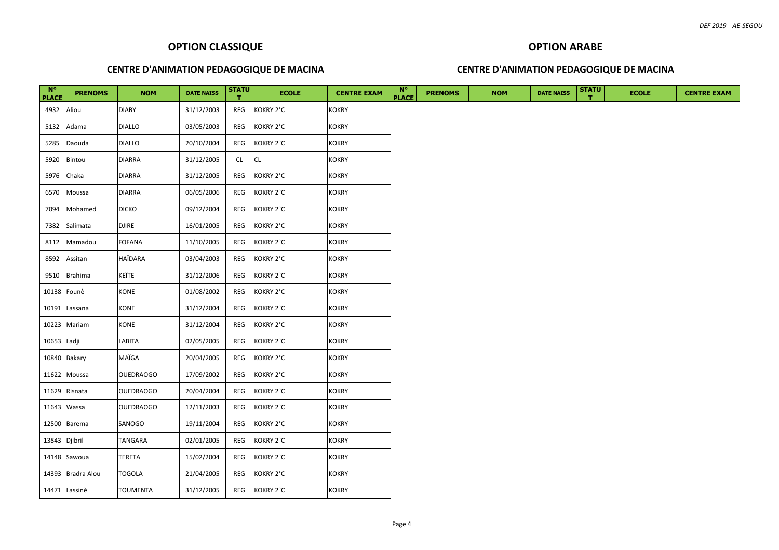# **CENTRE D'ANIMATION PEDAGOGIQUE DE MACINA**

#### **CENTRE D'ANIMATION PEDAGOGIQUE DE MACINA**

**OPTION ARABE**

| $N^{\circ}$   | <b>PRENOMS</b>    | <b>NOM</b>       | <b>DATE NAISS</b> | <b>STATU</b> | <b>ECOLE</b> | <b>CENTRE EXAM</b> | $N^{\circ}$  | <b>PRENOMS</b> | <b>NOM</b> | <b>DATE NAISS</b> | <b>STATU</b> | <b>ECOLE</b> | <b>CENTRE EXAM</b> |
|---------------|-------------------|------------------|-------------------|--------------|--------------|--------------------|--------------|----------------|------------|-------------------|--------------|--------------|--------------------|
| <b>PLACE</b>  |                   |                  |                   | т.           |              |                    | <b>PLACE</b> |                |            |                   |              |              |                    |
| 4932          | Aliou             | <b>DIABY</b>     | 31/12/2003        | REG          | KOKRY 2°C    | <b>KOKRY</b>       |              |                |            |                   |              |              |                    |
| 5132          | Adama             | <b>DIALLO</b>    | 03/05/2003        | REG          | KOKRY 2°C    | <b>KOKRY</b>       |              |                |            |                   |              |              |                    |
| 5285          | Daouda            | <b>DIALLO</b>    | 20/10/2004        | REG          | KOKRY 2°C    | <b>KOKRY</b>       |              |                |            |                   |              |              |                    |
| 5920          | Bintou            | <b>DIARRA</b>    | 31/12/2005        | CL           | CL           | <b>KOKRY</b>       |              |                |            |                   |              |              |                    |
| 5976          | Chaka             | <b>DIARRA</b>    | 31/12/2005        | REG          | KOKRY 2°C    | <b>KOKRY</b>       |              |                |            |                   |              |              |                    |
| 6570          | Moussa            | <b>DIARRA</b>    | 06/05/2006        | REG          | KOKRY 2°C    | <b>KOKRY</b>       |              |                |            |                   |              |              |                    |
| 7094          | Mohamed           | <b>DICKO</b>     | 09/12/2004        | REG          | KOKRY 2°C    | <b>KOKRY</b>       |              |                |            |                   |              |              |                    |
| 7382          | Salimata          | <b>DJIRE</b>     | 16/01/2005        | REG          | KOKRY 2°C    | <b>KOKRY</b>       |              |                |            |                   |              |              |                    |
| 8112          | Mamadou           | <b>FOFANA</b>    | 11/10/2005        | REG          | KOKRY 2°C    | <b>KOKRY</b>       |              |                |            |                   |              |              |                    |
| 8592          | Assitan           | <b>HAÏDARA</b>   | 03/04/2003        | REG          | KOKRY 2°C    | <b>KOKRY</b>       |              |                |            |                   |              |              |                    |
| 9510          | Brahima           | KEÏTE            | 31/12/2006        | REG          | KOKRY 2°C    | <b>KOKRY</b>       |              |                |            |                   |              |              |                    |
| 10138 Founè   |                   | <b>KONE</b>      | 01/08/2002        | REG          | KOKRY 2°C    | <b>KOKRY</b>       |              |                |            |                   |              |              |                    |
|               | 10191 Lassana     | KONE             | 31/12/2004        | REG          | KOKRY 2°C    | <b>KOKRY</b>       |              |                |            |                   |              |              |                    |
|               | 10223 Mariam      | KONE             | 31/12/2004        | REG          | KOKRY 2°C    | <b>KOKRY</b>       |              |                |            |                   |              |              |                    |
| 10653 Ladji   |                   | LABITA           | 02/05/2005        | REG          | KOKRY 2°C    | <b>KOKRY</b>       |              |                |            |                   |              |              |                    |
|               | 10840 Bakary      | MAÏGA            | 20/04/2005        | REG          | KOKRY 2°C    | <b>KOKRY</b>       |              |                |            |                   |              |              |                    |
|               | 11622 Moussa      | <b>OUEDRAOGO</b> | 17/09/2002        | REG          | KOKRY 2°C    | <b>KOKRY</b>       |              |                |            |                   |              |              |                    |
|               |                   |                  |                   |              |              |                    |              |                |            |                   |              |              |                    |
|               | 11629 Risnata     | <b>OUEDRAOGO</b> | 20/04/2004        | REG          | KOKRY 2°C    | <b>KOKRY</b>       |              |                |            |                   |              |              |                    |
| 11643 Wassa   |                   | <b>OUEDRAOGO</b> | 12/11/2003        | REG          | KOKRY 2°C    | <b>KOKRY</b>       |              |                |            |                   |              |              |                    |
|               | 12500 Barema      | SANOGO           | 19/11/2004        | REG          | KOKRY 2°C    | <b>KOKRY</b>       |              |                |            |                   |              |              |                    |
| 13843 Djibril |                   | TANGARA          | 02/01/2005        | REG          | KOKRY 2°C    | <b>KOKRY</b>       |              |                |            |                   |              |              |                    |
|               | 14148 Sawoua      | <b>TERETA</b>    | 15/02/2004        | REG          | KOKRY 2°C    | <b>KOKRY</b>       |              |                |            |                   |              |              |                    |
|               | 14393 Bradra Alou | <b>TOGOLA</b>    | 21/04/2005        | REG          | KOKRY 2°C    | <b>KOKRY</b>       |              |                |            |                   |              |              |                    |
|               | 14471 Lassinè     | <b>TOUMENTA</b>  | 31/12/2005        | REG          | KOKRY 2°C    | <b>KOKRY</b>       |              |                |            |                   |              |              |                    |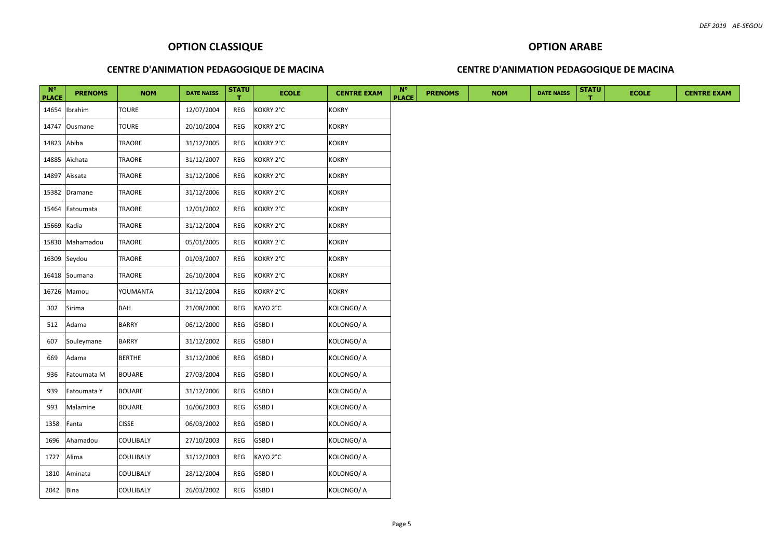#### **OPTION ARABE**

#### **CENTRE D'ANIMATION PEDAGOGIQUE DE MACINA**

| $N^{\circ}$  | <b>PRENOMS</b>  | <b>NOM</b>       | <b>DATE NAISS</b> | <b>STATU</b> | <b>ECOLE</b> | <b>CENTRE EXAM</b> | $N^{\circ}$  | <b>PRENOMS</b> | <b>NOM</b> | <b>DATE NAISS</b> | <b>STATU</b> | <b>ECOLE</b> | <b>CENTRE EXAM</b> |
|--------------|-----------------|------------------|-------------------|--------------|--------------|--------------------|--------------|----------------|------------|-------------------|--------------|--------------|--------------------|
| <b>PLACE</b> |                 |                  |                   | т            |              |                    | <b>PLACE</b> |                |            |                   |              |              |                    |
|              | 14654 Ibrahim   | <b>TOURE</b>     | 12/07/2004        | REG          | KOKRY 2°C    | <b>KOKRY</b>       |              |                |            |                   |              |              |                    |
|              | 14747 Ousmane   | <b>TOURE</b>     | 20/10/2004        | REG          | KOKRY 2°C    | <b>KOKRY</b>       |              |                |            |                   |              |              |                    |
| 14823 Abiba  |                 | TRAORE           | 31/12/2005        | REG          | KOKRY 2°C    | <b>KOKRY</b>       |              |                |            |                   |              |              |                    |
|              | 14885 Aïchata   | <b>TRAORE</b>    | 31/12/2007        | REG          | KOKRY 2°C    | <b>KOKRY</b>       |              |                |            |                   |              |              |                    |
|              | 14897 Aïssata   | TRAORE           | 31/12/2006        | REG          | KOKRY 2°C    | <b>KOKRY</b>       |              |                |            |                   |              |              |                    |
|              | 15382 Dramane   | TRAORE           | 31/12/2006        | REG          | KOKRY 2°C    | <b>KOKRY</b>       |              |                |            |                   |              |              |                    |
|              | 15464 Fatoumata | TRAORE           | 12/01/2002        | REG          | KOKRY 2°C    | <b>KOKRY</b>       |              |                |            |                   |              |              |                    |
| 15669 Kadia  |                 | <b>TRAORE</b>    | 31/12/2004        | REG          | KOKRY 2°C    | <b>KOKRY</b>       |              |                |            |                   |              |              |                    |
|              | 15830 Mahamadou | TRAORE           | 05/01/2005        | REG          | KOKRY 2°C    | <b>KOKRY</b>       |              |                |            |                   |              |              |                    |
|              | 16309 Seydou    | <b>TRAORE</b>    | 01/03/2007        | REG          | KOKRY 2°C    | <b>KOKRY</b>       |              |                |            |                   |              |              |                    |
|              | 16418 Soumana   | TRAORE           | 26/10/2004        | REG          | KOKRY 2°C    | <b>KOKRY</b>       |              |                |            |                   |              |              |                    |
|              | 16726 Mamou     | YOUMANTA         | 31/12/2004        | REG          | KOKRY 2°C    | <b>KOKRY</b>       |              |                |            |                   |              |              |                    |
| 302          | Sirima          | <b>BAH</b>       | 21/08/2000        | REG          | KAYO 2°C     | KOLONGO/ A         |              |                |            |                   |              |              |                    |
| 512          | Adama           | <b>BARRY</b>     | 06/12/2000        | REG          | GSBD I       | KOLONGO/ A         |              |                |            |                   |              |              |                    |
| 607          | Souleymane      | <b>BARRY</b>     | 31/12/2002        | REG          | GSBD I       | KOLONGO/ A         |              |                |            |                   |              |              |                    |
| 669          | Adama           | <b>BERTHE</b>    | 31/12/2006        | REG          | GSBD I       | KOLONGO/ A         |              |                |            |                   |              |              |                    |
| 936          | Fatoumata M     | <b>BOUARE</b>    | 27/03/2004        | REG          | GSBD I       | KOLONGO/ A         |              |                |            |                   |              |              |                    |
| 939          | Fatoumata Y     | <b>BOUARE</b>    | 31/12/2006        | REG          | GSBD I       | KOLONGO/ A         |              |                |            |                   |              |              |                    |
| 993          | Malamine        | <b>BOUARE</b>    | 16/06/2003        | REG          | GSBD I       | KOLONGO/ A         |              |                |            |                   |              |              |                    |
| 1358         | Fanta           | <b>CISSE</b>     | 06/03/2002        | REG          | GSBD I       | KOLONGO/ A         |              |                |            |                   |              |              |                    |
| 1696         | Ahamadou        | <b>COULIBALY</b> | 27/10/2003        | REG          | GSBD I       | KOLONGO/ A         |              |                |            |                   |              |              |                    |
| 1727         | Alima           | <b>COULIBALY</b> | 31/12/2003        | REG          | KAYO 2°C     | KOLONGO/ A         |              |                |            |                   |              |              |                    |
| 1810         | Aminata         | <b>COULIBALY</b> | 28/12/2004        | REG          | GSBD I       | KOLONGO/ A         |              |                |            |                   |              |              |                    |
| 2042 Bina    |                 | COULIBALY        | 26/03/2002        | REG          | GSBD I       | KOLONGO/ A         |              |                |            |                   |              |              |                    |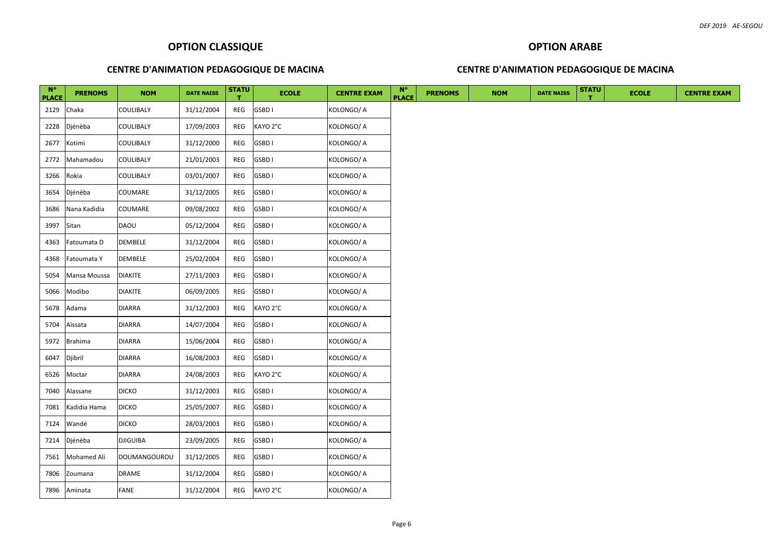#### **OPTION ARABE**

#### **CENTRE D'ANIMATION PEDAGOGIQUE DE MACINA**

| $N^{\circ}$<br><b>PLACE</b> | <b>PRENOMS</b> | <b>NOM</b>       | <b>DATE NAISS</b> | <b>STATU</b> | <b>ECOLE</b> | <b>CENTRE EXAM</b> | $N^{\circ}$<br><b>PLACE</b> | <b>PRENOMS</b> | <b>NOM</b> | <b>DATE NAISS</b> | <b>STATU</b> | <b>ECOLE</b> | <b>CENTRE EXAM</b> |
|-----------------------------|----------------|------------------|-------------------|--------------|--------------|--------------------|-----------------------------|----------------|------------|-------------------|--------------|--------------|--------------------|
| 2129                        | Chaka          | COULIBALY        | 31/12/2004        | REG          | GSBD I       | KOLONGO/A          |                             |                |            |                   |              |              |                    |
| 2228                        | Djénèba        | COULIBALY        | 17/09/2003        | REG          | KAYO 2°C     | KOLONGO/A          |                             |                |            |                   |              |              |                    |
| 2677                        | Kotimi         | COULIBALY        | 31/12/2000        | REG          | GSBD I       | KOLONGO/A          |                             |                |            |                   |              |              |                    |
| 2772                        | Mahamadou      | <b>COULIBALY</b> | 21/01/2003        | REG          | GSBD I       | KOLONGO/A          |                             |                |            |                   |              |              |                    |
| 3266                        | Rokia          | COULIBALY        | 03/01/2007        | REG          | GSBD I       | KOLONGO/A          |                             |                |            |                   |              |              |                    |
| 3654                        | Djénèba        | COUMARE          | 31/12/2005        | REG          | GSBD I       | KOLONGO/A          |                             |                |            |                   |              |              |                    |
| 3686                        | Nana Kadidia   | COUMARE          | 09/08/2002        | REG          | GSBD I       | KOLONGO/A          |                             |                |            |                   |              |              |                    |
| 3997                        | Sitan          | DAOU             | 05/12/2004        | REG          | GSBD I       | KOLONGO/ A         |                             |                |            |                   |              |              |                    |
| 4363                        | Fatoumata D    | DEMBELE          | 31/12/2004        | REG          | GSBD I       | KOLONGO/A          |                             |                |            |                   |              |              |                    |
| 4368                        | Fatoumata Y    | DEMBELE          | 25/02/2004        | REG          | GSBD I       | KOLONGO/A          |                             |                |            |                   |              |              |                    |
| 5054                        | Mansa Moussa   | <b>DIAKITE</b>   | 27/11/2003        | REG          | GSBD I       | KOLONGO/A          |                             |                |            |                   |              |              |                    |
| 5066                        | Modibo         | <b>DIAKITE</b>   | 06/09/2005        | REG          | GSBD I       | KOLONGO/A          |                             |                |            |                   |              |              |                    |
| 5678                        | Adama          | DIARRA           | 31/12/2003        | REG          | KAYO 2°C     | KOLONGO/ A         |                             |                |            |                   |              |              |                    |
| 5704                        | Aïssata        | <b>DIARRA</b>    | 14/07/2004        | REG          | GSBD I       | KOLONGO/ A         |                             |                |            |                   |              |              |                    |
| 5972                        | Brahima        | <b>DIARRA</b>    | 15/06/2004        | REG          | GSBD I       | KOLONGO/ A         |                             |                |            |                   |              |              |                    |
| 6047                        | Djibril        | <b>DIARRA</b>    | 16/08/2003        | REG          | GSBD I       | KOLONGO/A          |                             |                |            |                   |              |              |                    |
| 6526                        | Moctar         | <b>DIARRA</b>    | 24/08/2003        | REG          | KAYO 2°C     | KOLONGO/ A         |                             |                |            |                   |              |              |                    |
| 7040                        | Alassane       | <b>DICKO</b>     | 31/12/2003        | REG          | GSBD I       | KOLONGO/ A         |                             |                |            |                   |              |              |                    |
| 7081                        | Kadidia Hama   | <b>DICKO</b>     | 25/05/2007        | REG          | GSBD I       | KOLONGO/A          |                             |                |            |                   |              |              |                    |
| 7124                        | Wandé          | <b>DICKO</b>     | 28/03/2003        | REG          | GSBD I       | KOLONGO/ A         |                             |                |            |                   |              |              |                    |
| 7214                        | Djénèba        | <b>DJIGUIBA</b>  | 23/09/2005        | REG          | GSBD I       | KOLONGO/ A         |                             |                |            |                   |              |              |                    |
| 7561                        | Mohamed Ali    | DOUMANGOUROU     | 31/12/2005        | REG          | GSBD I       | KOLONGO/A          |                             |                |            |                   |              |              |                    |
| 7806                        | Zoumana        | DRAME            | 31/12/2004        | REG          | GSBD I       | KOLONGO/A          |                             |                |            |                   |              |              |                    |
|                             | 7896 Aminata   | <b>FANE</b>      | 31/12/2004        | REG          | KAYO 2°C     | KOLONGO/ A         |                             |                |            |                   |              |              |                    |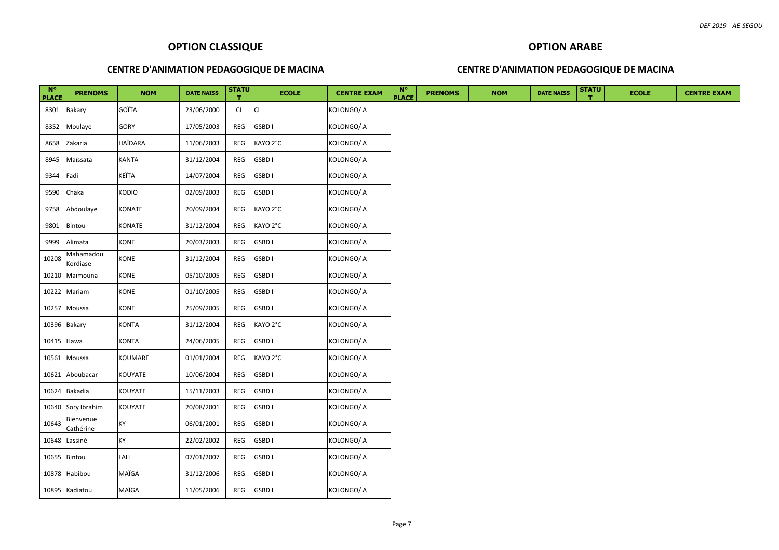#### **OPTION ARABE**

#### **CENTRE D'ANIMATION PEDAGOGIQUE DE MACINA**

| $N^{\circ}$  | <b>PRENOMS</b>         | <b>NOM</b>     | <b>DATE NAISS</b> | <b>STATU</b> | <b>ECOLE</b> | <b>CENTRE EXAM</b> | $N^{\circ}$  | <b>PRENOMS</b> | <b>NOM</b> | <b>DATE NAISS</b> | <b>STATU</b> | <b>ECOLE</b> | <b>CENTRE EXAM</b> |
|--------------|------------------------|----------------|-------------------|--------------|--------------|--------------------|--------------|----------------|------------|-------------------|--------------|--------------|--------------------|
| <b>PLACE</b> |                        |                |                   | т.           |              |                    | <b>PLACE</b> |                |            |                   |              |              |                    |
| 8301         | Bakary                 | GOÏTA          | 23/06/2000        | CL           | <b>CL</b>    | KOLONGO/A          |              |                |            |                   |              |              |                    |
| 8352         | Moulaye                | GORY           | 17/05/2003        | REG          | GSBD I       | KOLONGO/A          |              |                |            |                   |              |              |                    |
| 8658         | Zakaria                | <b>HAÏDARA</b> | 11/06/2003        | REG          | KAYO 2°C     | KOLONGO/A          |              |                |            |                   |              |              |                    |
| 8945         | Maïssata               | <b>KANTA</b>   | 31/12/2004        | REG          | GSBD I       | KOLONGO/A          |              |                |            |                   |              |              |                    |
| 9344         | Fadi                   | KEÏTA          | 14/07/2004        | REG          | GSBD I       | KOLONGO/A          |              |                |            |                   |              |              |                    |
| 9590         | Chaka                  | KODIO          | 02/09/2003        | REG          | GSBD I       | KOLONGO/A          |              |                |            |                   |              |              |                    |
| 9758         | Abdoulaye              | KONATE         | 20/09/2004        | REG          | KAYO 2°C     | KOLONGO/A          |              |                |            |                   |              |              |                    |
| 9801         | Bintou                 | KONATE         | 31/12/2004        | REG          | KAYO 2°C     | KOLONGO/A          |              |                |            |                   |              |              |                    |
| 9999         | Alimata                | <b>KONE</b>    | 20/03/2003        | REG          | GSBD I       | KOLONGO/A          |              |                |            |                   |              |              |                    |
| 10208        | Mahamadou<br>Kordiase  | <b>KONE</b>    | 31/12/2004        | REG          | GSBD I       | KOLONGO/ A         |              |                |            |                   |              |              |                    |
| 10210        | Maïmouna               | <b>KONE</b>    | 05/10/2005        | REG          | GSBD I       | KOLONGO/A          |              |                |            |                   |              |              |                    |
| 10222        | Mariam                 | <b>KONE</b>    | 01/10/2005        | REG          | GSBD I       | KOLONGO/A          |              |                |            |                   |              |              |                    |
| 10257        | Moussa                 | KONE           | 25/09/2005        | REG          | GSBD I       | KOLONGO/A          |              |                |            |                   |              |              |                    |
| 10396        | Bakary                 | <b>KONTA</b>   | 31/12/2004        | REG          | KAYO 2°C     | KOLONGO/A          |              |                |            |                   |              |              |                    |
| 10415        | Hawa                   | <b>KONTA</b>   | 24/06/2005        | REG          | GSBD I       | KOLONGO/A          |              |                |            |                   |              |              |                    |
| 10561        | Moussa                 | KOUMARE        | 01/01/2004        | REG          | KAYO 2°C     | KOLONGO/A          |              |                |            |                   |              |              |                    |
| 10621        | Aboubacar              | KOUYATE        | 10/06/2004        | REG          | GSBD I       | KOLONGO/A          |              |                |            |                   |              |              |                    |
| 10624        | Bakadia                | <b>KOUYATE</b> | 15/11/2003        | REG          | GSBD I       | KOLONGO/A          |              |                |            |                   |              |              |                    |
| 10640        | Sory Ibrahim           | KOUYATE        | 20/08/2001        | REG          | GSBD I       | KOLONGO/A          |              |                |            |                   |              |              |                    |
| 10643        | Bienvenue<br>Cathérine | KY             | 06/01/2001        | REG          | GSBD I       | KOLONGO/A          |              |                |            |                   |              |              |                    |
| 10648        | Lassinè                | KY             | 22/02/2002        | REG          | GSBD I       | KOLONGO/A          |              |                |            |                   |              |              |                    |
| 10655        | Bintou                 | LAH            | 07/01/2007        | REG          | GSBD I       | KOLONGO/A          |              |                |            |                   |              |              |                    |
| 10878        | Habibou                | MAÏGA          | 31/12/2006        | REG          | GSBD I       | KOLONGO/A          |              |                |            |                   |              |              |                    |
|              | 10895 Kadiatou         | MAÏGA          | 11/05/2006        | REG          | GSBD I       | KOLONGO/ A         |              |                |            |                   |              |              |                    |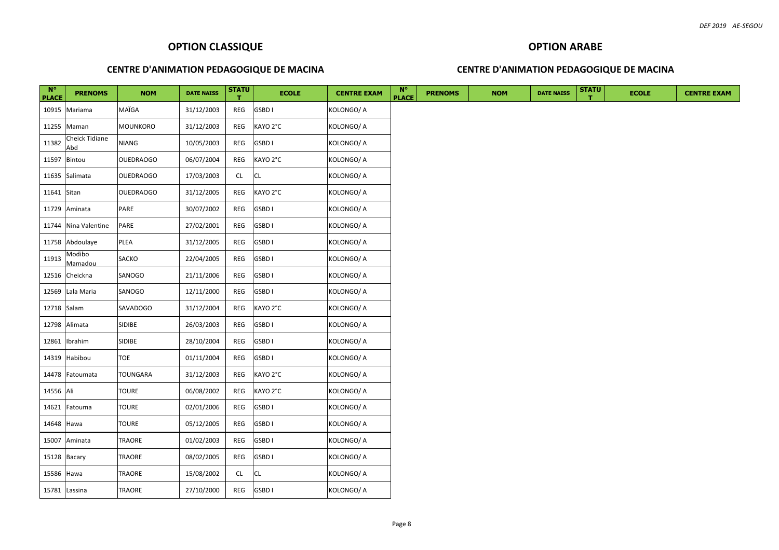#### **CENTRE D'ANIMATION PEDAGOGIQUE DE MACINA**

#### **CENTRE D'ANIMATION PEDAGOGIQUE DE MACINA**

**OPTION ARABE** 

| $N^{\circ}$  |                              |                  |                   | <b>STATU</b> |              |                    | $N^{\circ}$  |                |            |                   | <b>STATU</b> |              |                    |
|--------------|------------------------------|------------------|-------------------|--------------|--------------|--------------------|--------------|----------------|------------|-------------------|--------------|--------------|--------------------|
| <b>PLACE</b> | <b>PRENOMS</b>               | <b>NOM</b>       | <b>DATE NAISS</b> | т            | <b>ECOLE</b> | <b>CENTRE EXAM</b> | <b>PLACE</b> | <b>PRENOMS</b> | <b>NOM</b> | <b>DATE NAISS</b> |              | <b>ECOLE</b> | <b>CENTRE EXAM</b> |
|              | 10915 Mariama                | MAÏGA            | 31/12/2003        | REG          | GSBD I       | KOLONGO/ A         |              |                |            |                   |              |              |                    |
|              | 11255 Maman                  | MOUNKORO         | 31/12/2003        | REG          | KAYO 2°C     | KOLONGO/ A         |              |                |            |                   |              |              |                    |
| 11382        | <b>Cheick Tidiane</b><br>Abd | <b>NIANG</b>     | 10/05/2003        | REG          | GSBD I       | KOLONGO/ A         |              |                |            |                   |              |              |                    |
|              | 11597 Bintou                 | <b>OUEDRAOGO</b> | 06/07/2004        | REG          | KAYO 2°C     | KOLONGO/ A         |              |                |            |                   |              |              |                    |
|              | 11635 Salimata               | <b>OUEDRAOGO</b> | 17/03/2003        | <b>CL</b>    | <b>CL</b>    | KOLONGO/ A         |              |                |            |                   |              |              |                    |
| 11641 Sitan  |                              | <b>OUEDRAOGO</b> | 31/12/2005        | REG          | KAYO 2°C     | KOLONGO/ A         |              |                |            |                   |              |              |                    |
|              | 11729 Aminata                | PARE             | 30/07/2002        | REG          | GSBD I       | KOLONGO/ A         |              |                |            |                   |              |              |                    |
|              | 11744 Nina Valentine         | PARE             | 27/02/2001        | REG          | GSBD I       | KOLONGO/ A         |              |                |            |                   |              |              |                    |
|              | 11758 Abdoulaye              | PLEA             | 31/12/2005        | REG          | GSBD I       | KOLONGO/ A         |              |                |            |                   |              |              |                    |
| 11913        | Modibo<br>Mamadou            | SACKO            | 22/04/2005        | REG          | GSBD I       | KOLONGO/ A         |              |                |            |                   |              |              |                    |
|              | 12516 Cheickna               | SANOGO           | 21/11/2006        | REG          | GSBD I       | KOLONGO/ A         |              |                |            |                   |              |              |                    |
| 12569        | Lala Maria                   | SANOGO           | 12/11/2000        | REG          | GSBD I       | KOLONGO/ A         |              |                |            |                   |              |              |                    |
|              | 12718 Salam                  | SAVADOGO         | 31/12/2004        | REG          | KAYO 2°C     | KOLONGO/ A         |              |                |            |                   |              |              |                    |
|              | 12798 Alimata                | SIDIBE           | 26/03/2003        | REG          | GSBD I       | KOLONGO/ A         |              |                |            |                   |              |              |                    |
| 12861        | Ibrahim                      | SIDIBE           | 28/10/2004        | REG          | GSBD I       | KOLONGO/ A         |              |                |            |                   |              |              |                    |
| 14319        | Habibou                      | TOE              | 01/11/2004        | REG          | GSBD I       | KOLONGO/ A         |              |                |            |                   |              |              |                    |
|              | 14478 Fatoumata              | TOUNGARA         | 31/12/2003        | REG          | KAYO 2°C     | KOLONGO/ A         |              |                |            |                   |              |              |                    |
| 14556 Ali    |                              | TOURE            | 06/08/2002        | REG          | KAYO 2°C     | KOLONGO/ A         |              |                |            |                   |              |              |                    |
| 14621        | Fatouma                      | TOURE            | 02/01/2006        | REG          | GSBD I       | KOLONGO/ A         |              |                |            |                   |              |              |                    |
| 14648 Hawa   |                              | TOURE            | 05/12/2005        | REG          | GSBD I       | KOLONGO/ A         |              |                |            |                   |              |              |                    |
|              | 15007 Aminata                | TRAORE           | 01/02/2003        | REG          | GSBD I       | KOLONGO/ A         |              |                |            |                   |              |              |                    |
|              | 15128 Bacary                 | TRAORE           | 08/02/2005        | REG          | GSBD I       | KOLONGO/ A         |              |                |            |                   |              |              |                    |
| 15586 Hawa   |                              | TRAORE           | 15/08/2002        | CL           | <b>CL</b>    | KOLONGO/ A         |              |                |            |                   |              |              |                    |
|              | 15781 Lassina                | TRAORE           | 27/10/2000        | REG          | GSBD I       | KOLONGO/ A         |              |                |            |                   |              |              |                    |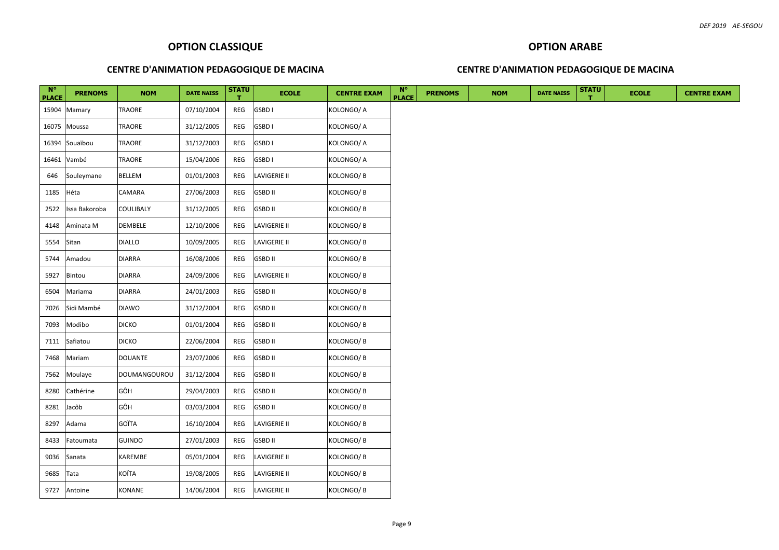# **OPTION ARABE**

#### **CENTRE D'ANIMATION PEDAGOGIQUE DE MACINA**

| $N^{\circ}$  | <b>PRENOMS</b> | <b>NOM</b>     | <b>DATE NAISS</b> | <b>STATU</b> | <b>ECOLE</b>        | <b>CENTRE EXAM</b> | $N^{\circ}$<br><b>PLACE</b> | <b>PRENOMS</b> | <b>NOM</b> | <b>DATE NAISS</b> | <b>STATU</b> | <b>ECOLE</b> | <b>CENTRE EXAM</b> |
|--------------|----------------|----------------|-------------------|--------------|---------------------|--------------------|-----------------------------|----------------|------------|-------------------|--------------|--------------|--------------------|
| <b>PLACE</b> | 15904 Mamary   | <b>TRAORE</b>  | 07/10/2004        | REG          | GSBD I              | KOLONGO/ A         |                             |                |            |                   |              |              |                    |
|              | 16075 Moussa   | TRAORE         | 31/12/2005        | REG          | GSBD I              | KOLONGO/A          |                             |                |            |                   |              |              |                    |
|              | 16394 Souaïbou | TRAORE         | 31/12/2003        | REG          | GSBD I              | KOLONGO/ A         |                             |                |            |                   |              |              |                    |
|              | 16461 Vambé    | TRAORE         | 15/04/2006        | REG          | GSBD I              | KOLONGO/ A         |                             |                |            |                   |              |              |                    |
| 646          | Souleymane     | <b>BELLEM</b>  | 01/01/2003        | REG          | LAVIGERIE II        | KOLONGO/B          |                             |                |            |                   |              |              |                    |
| 1185         | Héta           | CAMARA         | 27/06/2003        | REG          | <b>GSBD II</b>      | KOLONGO/B          |                             |                |            |                   |              |              |                    |
| 2522         | Issa Bakoroba  | COULIBALY      | 31/12/2005        | REG          | <b>GSBD II</b>      | KOLONGO/B          |                             |                |            |                   |              |              |                    |
| 4148         | Aminata M      | <b>DEMBELE</b> | 12/10/2006        | REG          | <b>LAVIGERIE II</b> | KOLONGO/B          |                             |                |            |                   |              |              |                    |
| 5554         | Sitan          | <b>DIALLO</b>  | 10/09/2005        | REG          | <b>LAVIGERIE II</b> | KOLONGO/B          |                             |                |            |                   |              |              |                    |
| 5744         | Amadou         | <b>DIARRA</b>  | 16/08/2006        | REG          | <b>GSBD II</b>      | KOLONGO/B          |                             |                |            |                   |              |              |                    |
| 5927         | Bintou         | <b>DIARRA</b>  | 24/09/2006        | REG          | LAVIGERIE II        | KOLONGO/B          |                             |                |            |                   |              |              |                    |
| 6504         | Mariama        | <b>DIARRA</b>  | 24/01/2003        | REG          | <b>GSBD II</b>      | KOLONGO/B          |                             |                |            |                   |              |              |                    |
| 7026         | Sidi Mambé     | <b>DIAWO</b>   | 31/12/2004        | REG          | <b>GSBD II</b>      | Kolongo/ B         |                             |                |            |                   |              |              |                    |
| 7093         | Modibo         | <b>DICKO</b>   | 01/01/2004        | REG          | <b>GSBD II</b>      | KOLONGO/B          |                             |                |            |                   |              |              |                    |
| 7111         | Safiatou       | <b>DICKO</b>   | 22/06/2004        | REG          | <b>GSBD II</b>      | KOLONGO/B          |                             |                |            |                   |              |              |                    |
| 7468         | Mariam         | <b>DOUANTE</b> | 23/07/2006        | REG          | <b>GSBD II</b>      | KOLONGO/B          |                             |                |            |                   |              |              |                    |
| 7562         | Moulaye        | DOUMANGOUROU   | 31/12/2004        | REG          | <b>GSBD II</b>      | KOLONGO/ B         |                             |                |            |                   |              |              |                    |
| 8280         | Cathérine      | GÔH            | 29/04/2003        | REG          | <b>GSBD II</b>      | KOLONGO/B          |                             |                |            |                   |              |              |                    |
| 8281         | Jacôb          | GÔH            | 03/03/2004        | REG          | <b>GSBD II</b>      | KOLONGO/B          |                             |                |            |                   |              |              |                    |
| 8297         | Adama          | <b>GOÏTA</b>   | 16/10/2004        | REG          | LAVIGERIE II        | KOLONGO/B          |                             |                |            |                   |              |              |                    |
| 8433         | Fatoumata      | <b>GUINDO</b>  | 27/01/2003        | REG          | <b>GSBD II</b>      | KOLONGO/B          |                             |                |            |                   |              |              |                    |
| 9036         | Sanata         | KAREMBE        | 05/01/2004        | REG          | LAVIGERIE II        | KOLONGO/B          |                             |                |            |                   |              |              |                    |
| 9685         | Tata           | KOÏTA          | 19/08/2005        | REG          | <b>LAVIGERIE II</b> | KOLONGO/B          |                             |                |            |                   |              |              |                    |
|              | 9727 Antoine   | KONANE         | 14/06/2004        | REG          | <b>LAVIGERIE II</b> | KOLONGO/B          |                             |                |            |                   |              |              |                    |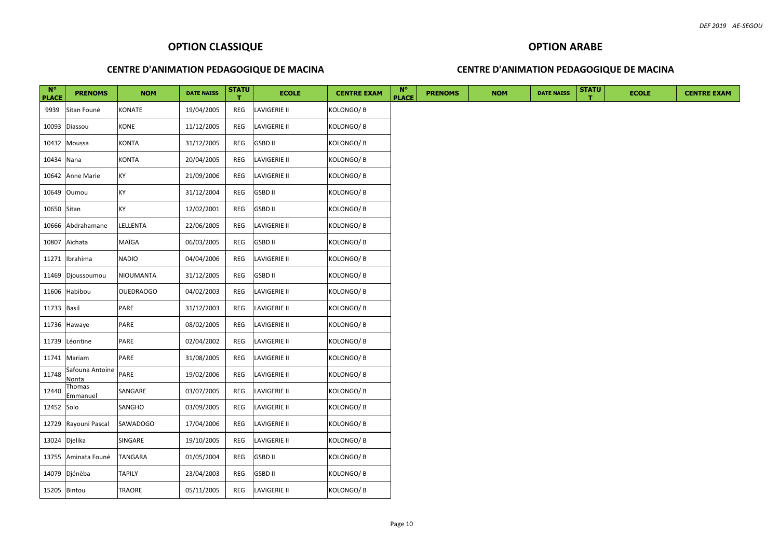#### **CENTRE D'ANIMATION PEDAGOGIQUE DE MACINA**

#### **CENTRE D'ANIMATION PEDAGOGIQUE DE MACINA**

**OPTION ARABE**

| $N^{\circ}$<br><b>PLACE</b> | <b>PRENOMS</b>           | <b>NOM</b>       | <b>DATE NAISS</b> | <b>STATU</b> | <b>ECOLE</b>        | <b>CENTRE EXAM</b> | $N^{\circ}$<br><b>PLACE</b> | <b>PRENOMS</b> | <b>NOM</b> | <b>DATE NAISS</b> | <b>STATU</b> | <b>ECOLE</b> | <b>CENTRE EXAM</b> |
|-----------------------------|--------------------------|------------------|-------------------|--------------|---------------------|--------------------|-----------------------------|----------------|------------|-------------------|--------------|--------------|--------------------|
| 9939                        | Sitan Founé              | KONATE           | 19/04/2005        | REG          | <b>LAVIGERIE II</b> | KOLONGO/B          |                             |                |            |                   |              |              |                    |
| 10093                       | Diassou                  | KONE             | 11/12/2005        | REG          | <b>LAVIGERIE II</b> | KOLONGO/B          |                             |                |            |                   |              |              |                    |
|                             | 10432 Moussa             | KONTA            | 31/12/2005        | REG          | <b>GSBD II</b>      | KOLONGO/B          |                             |                |            |                   |              |              |                    |
| 10434 Nana                  |                          | <b>KONTA</b>     | 20/04/2005        | REG          | LAVIGERIE II        | KOLONGO/B          |                             |                |            |                   |              |              |                    |
|                             | 10642 Anne Marie         | КY               | 21/09/2006        | REG          | LAVIGERIE II        | KOLONGO/ B         |                             |                |            |                   |              |              |                    |
|                             | 10649 Oumou              | KY               | 31/12/2004        | REG          | <b>GSBD II</b>      | KOLONGO/ B         |                             |                |            |                   |              |              |                    |
| 10650 Sitan                 |                          | KY               | 12/02/2001        | REG          | <b>GSBD II</b>      | Kolongo/ B         |                             |                |            |                   |              |              |                    |
|                             | 10666 Abdrahamane        | LELLENTA         | 22/06/2005        | REG          | LAVIGERIE II        | KOLONGO/B          |                             |                |            |                   |              |              |                    |
|                             | 10807 Aïchata            | MAÏGA            | 06/03/2005        | REG          | <b>GSBD II</b>      | KOLONGO/ B         |                             |                |            |                   |              |              |                    |
| 11271                       | Ibrahima                 | <b>NADIO</b>     | 04/04/2006        | REG          | <b>LAVIGERIE II</b> | KOLONGO/B          |                             |                |            |                   |              |              |                    |
|                             | 11469 Djoussoumou        | NIOUMANTA        | 31/12/2005        | REG          | <b>GSBD II</b>      | KOLONGO/B          |                             |                |            |                   |              |              |                    |
| 11606                       | Habibou                  | <b>OUEDRAOGO</b> | 04/02/2003        | REG          | LAVIGERIE II        | KOLONGO/B          |                             |                |            |                   |              |              |                    |
| 11733 Basil                 |                          | PARE             | 31/12/2003        | REG          | LAVIGERIE II        | KOLONGO/ B         |                             |                |            |                   |              |              |                    |
|                             | 11736 Hawaye             | PARE             | 08/02/2005        | REG          | <b>LAVIGERIE II</b> | KOLONGO/B          |                             |                |            |                   |              |              |                    |
|                             | 11739 Léontine           | PARE             | 02/04/2002        | REG          | <b>LAVIGERIE II</b> | KOLONGO/B          |                             |                |            |                   |              |              |                    |
|                             | 11741 Mariam             | PARE             | 31/08/2005        | REG          | LAVIGERIE II        | KOLONGO/B          |                             |                |            |                   |              |              |                    |
| 11748                       | Safouna Antoine<br>Nonta | PARE             | 19/02/2006        | REG          | <b>LAVIGERIE II</b> | KOLONGO/ B         |                             |                |            |                   |              |              |                    |
| 12440                       | Thomas<br>Emmanuel       | SANGARE          | 03/07/2005        | REG          | LAVIGERIE II        | KOLONGO/B          |                             |                |            |                   |              |              |                    |
| 12452 Solo                  |                          | SANGHO           | 03/09/2005        | REG          | <b>LAVIGERIE II</b> | Kolongo/ B         |                             |                |            |                   |              |              |                    |
|                             | 12729 Rayouni Pascal     | <b>SAWADOGO</b>  | 17/04/2006        | REG          | <b>LAVIGERIE II</b> | KOLONGO/B          |                             |                |            |                   |              |              |                    |
|                             | 13024 Djelika            | SINGARE          | 19/10/2005        | REG          | LAVIGERIE II        | KOLONGO/ B         |                             |                |            |                   |              |              |                    |
|                             | 13755 Aminata Founé      | <b>TANGARA</b>   | 01/05/2004        | REG          | <b>GSBD II</b>      | KOLONGO/B          |                             |                |            |                   |              |              |                    |
|                             | 14079 Djénèba            | <b>TAPILY</b>    | 23/04/2003        | REG          | <b>GSBD II</b>      | KOLONGO/B          |                             |                |            |                   |              |              |                    |
| 15205 Bintou                |                          | TRAORE           | 05/11/2005        | REG          | <b>LAVIGERIE II</b> | KOLONGO/B          |                             |                |            |                   |              |              |                    |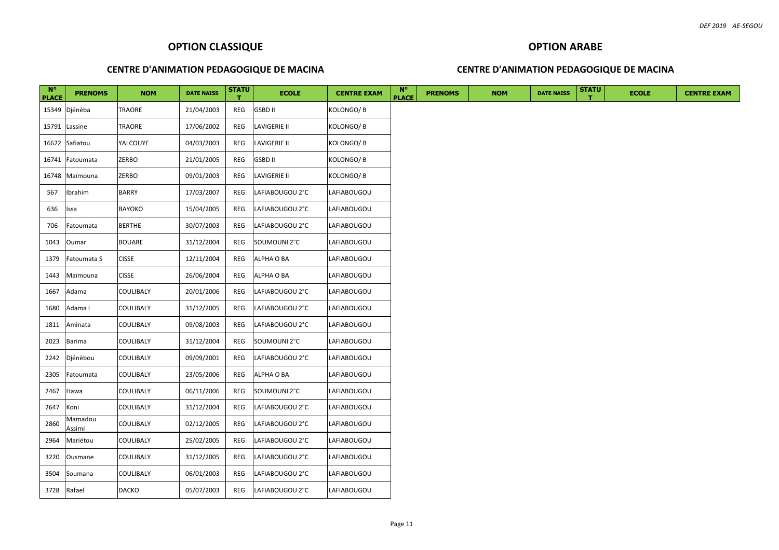#### **OPTION ARABE**

#### **CENTRE D'ANIMATION PEDAGOGIQUE DE MACINA**

| $N^{\circ}$<br><b>PLACE</b> | <b>PRENOMS</b>    | <b>NOM</b>   | <b>DATE NAISS</b> | <b>STATU</b> | <b>ECOLE</b>    | <b>CENTRE EXAM</b> | $N^{\circ}$<br><b>PLACE</b> | <b>PRENOMS</b> | <b>NOM</b> | <b>DATE NAISS</b> | <b>STATU</b> | <b>ECOLE</b> | <b>CENTRE EXAM</b> |
|-----------------------------|-------------------|--------------|-------------------|--------------|-----------------|--------------------|-----------------------------|----------------|------------|-------------------|--------------|--------------|--------------------|
|                             | 15349 Djénèba     | TRAORE       | 21/04/2003        | REG          | <b>GSBD II</b>  | KOLONGO/B          |                             |                |            |                   |              |              |                    |
|                             | 15791 Lassine     | TRAORE       | 17/06/2002        | REG          | LAVIGERIE II    | KOLONGO/B          |                             |                |            |                   |              |              |                    |
|                             | 16622 Safiatou    | YALCOUYE     | 04/03/2003        | REG          | LAVIGERIE II    | KOLONGO/B          |                             |                |            |                   |              |              |                    |
| 16741                       | Fatoumata         | ZERBO        | 21/01/2005        | REG          | GSBD II         | KOLONGO/B          |                             |                |            |                   |              |              |                    |
|                             | 16748 Maïmouna    | ZERBO        | 09/01/2003        | REG          | LAVIGERIE II    | KOLONGO/B          |                             |                |            |                   |              |              |                    |
| 567                         | Ibrahim           | <b>BARRY</b> | 17/03/2007        | REG          | LAFIABOUGOU 2°C | LAFIABOUGOU        |                             |                |            |                   |              |              |                    |
| 636                         | Issa              | BAYOKO       | 15/04/2005        | REG          | LAFIABOUGOU 2°C | LAFIABOUGOU        |                             |                |            |                   |              |              |                    |
| 706                         | Fatoumata         | BERTHE       | 30/07/2003        | REG          | LAFIABOUGOU 2°C | LAFIABOUGOU        |                             |                |            |                   |              |              |                    |
| 1043                        | Oumar             | BOUARE       | 31/12/2004        | REG          | SOUMOUNI 2°C    | LAFIABOUGOU        |                             |                |            |                   |              |              |                    |
| 1379                        | Fatoumata S       | CISSE        | 12/11/2004        | REG          | ALPHA O BA      | LAFIABOUGOU        |                             |                |            |                   |              |              |                    |
| 1443                        | Maïmouna          | <b>CISSE</b> | 26/06/2004        | REG          | ALPHA O BA      | LAFIABOUGOU        |                             |                |            |                   |              |              |                    |
| 1667                        | Adama             | COULIBALY    | 20/01/2006        | REG          | LAFIABOUGOU 2°C | LAFIABOUGOU        |                             |                |            |                   |              |              |                    |
| 1680                        | Adama I           | COULIBALY    | 31/12/2005        | REG          | LAFIABOUGOU 2°C | LAFIABOUGOU        |                             |                |            |                   |              |              |                    |
| 1811                        | Aminata           | COULIBALY    | 09/08/2003        | REG          | LAFIABOUGOU 2°C | LAFIABOUGOU        |                             |                |            |                   |              |              |                    |
| 2023                        | Barima            | COULIBALY    | 31/12/2004        | REG          | SOUMOUNI 2°C    | LAFIABOUGOU        |                             |                |            |                   |              |              |                    |
| 2242                        | Djénèbou          | COULIBALY    | 09/09/2001        | REG          | LAFIABOUGOU 2°C | LAFIABOUGOU        |                             |                |            |                   |              |              |                    |
| 2305                        | Fatoumata         | COULIBALY    | 23/05/2006        | REG          | ALPHA O BA      | LAFIABOUGOU        |                             |                |            |                   |              |              |                    |
| 2467                        | Hawa              | COULIBALY    | 06/11/2006        | REG          | SOUMOUNI 2°C    | LAFIABOUGOU        |                             |                |            |                   |              |              |                    |
| 2647                        | Koni              | COULIBALY    | 31/12/2004        | REG          | LAFIABOUGOU 2°C | LAFIABOUGOU        |                             |                |            |                   |              |              |                    |
| 2860                        | Mamadou<br>Assimi | COULIBALY    | 02/12/2005        | REG          | LAFIABOUGOU 2°C | LAFIABOUGOU        |                             |                |            |                   |              |              |                    |
| 2964                        | Mariétou          | COULIBALY    | 25/02/2005        | REG          | LAFIABOUGOU 2°C | LAFIABOUGOU        |                             |                |            |                   |              |              |                    |
| 3220                        | Ousmane           | COULIBALY    | 31/12/2005        | REG          | LAFIABOUGOU 2°C | LAFIABOUGOU        |                             |                |            |                   |              |              |                    |
| 3504                        | Soumana           | COULIBALY    | 06/01/2003        | REG          | LAFIABOUGOU 2°C | LAFIABOUGOU        |                             |                |            |                   |              |              |                    |
| 3728 Rafael                 |                   | <b>DACKO</b> | 05/07/2003        | REG          | LAFIABOUGOU 2°C | LAFIABOUGOU        |                             |                |            |                   |              |              |                    |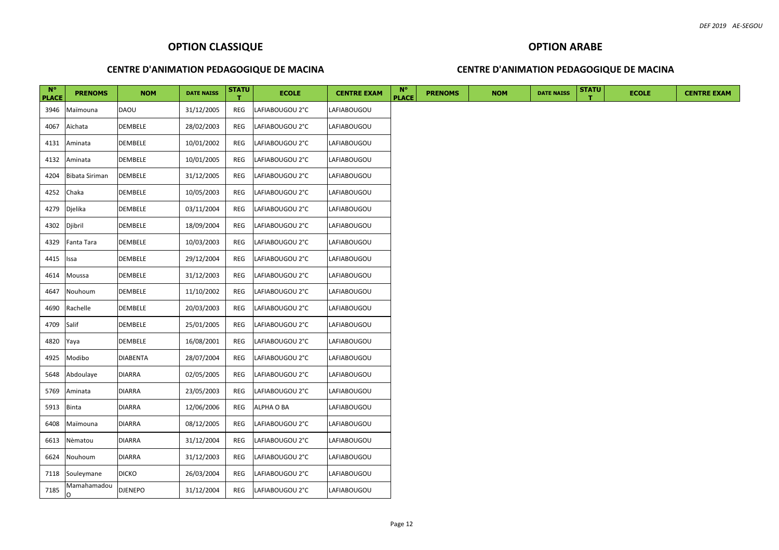#### **OPTION ARABE**

#### **CENTRE D'ANIMATION PEDAGOGIQUE DE MACINA**

| $N^{\circ}$<br><b>PLACE</b> | <b>PRENOMS</b>        | <b>NOM</b>      | <b>DATE NAISS</b> | <b>STATU</b> | <b>ECOLE</b>    | <b>CENTRE EXAM</b> | $N^{\circ}$<br><b>PLACE</b> | <b>PRENOMS</b> | <b>NOM</b> | <b>DATE NAISS</b> | <b>STATU</b> | <b>ECOLE</b> | <b>CENTRE EXAM</b> |
|-----------------------------|-----------------------|-----------------|-------------------|--------------|-----------------|--------------------|-----------------------------|----------------|------------|-------------------|--------------|--------------|--------------------|
| 3946                        | Maïmouna              | <b>DAOU</b>     | 31/12/2005        | REG          | LAFIABOUGOU 2°C | LAFIABOUGOU        |                             |                |            |                   |              |              |                    |
| 4067                        | Aïchata               | DEMBELE         | 28/02/2003        | REG          | LAFIABOUGOU 2°C | LAFIABOUGOU        |                             |                |            |                   |              |              |                    |
| 4131                        | Aminata               | DEMBELE         | 10/01/2002        | REG          | LAFIABOUGOU 2°C | LAFIABOUGOU        |                             |                |            |                   |              |              |                    |
| 4132                        | Aminata               | DEMBELE         | 10/01/2005        | REG          | LAFIABOUGOU 2°C | LAFIABOUGOU        |                             |                |            |                   |              |              |                    |
| 4204                        | <b>Bibata Siriman</b> | DEMBELE         | 31/12/2005        | REG          | LAFIABOUGOU 2°C | LAFIABOUGOU        |                             |                |            |                   |              |              |                    |
| 4252                        | Chaka                 | DEMBELE         | 10/05/2003        | REG          | LAFIABOUGOU 2°C | LAFIABOUGOU        |                             |                |            |                   |              |              |                    |
| 4279                        | Djelika               | DEMBELE         | 03/11/2004        | REG          | LAFIABOUGOU 2°C | LAFIABOUGOU        |                             |                |            |                   |              |              |                    |
| 4302                        | Djibril               | DEMBELE         | 18/09/2004        | REG          | LAFIABOUGOU 2°C | LAFIABOUGOU        |                             |                |            |                   |              |              |                    |
| 4329                        | Fanta Tara            | DEMBELE         | 10/03/2003        | REG          | LAFIABOUGOU 2°C | LAFIABOUGOU        |                             |                |            |                   |              |              |                    |
| 4415                        | Issa                  | DEMBELE         | 29/12/2004        | REG          | LAFIABOUGOU 2°C | LAFIABOUGOU        |                             |                |            |                   |              |              |                    |
| 4614                        | Moussa                | DEMBELE         | 31/12/2003        | REG          | LAFIABOUGOU 2°C | LAFIABOUGOU        |                             |                |            |                   |              |              |                    |
| 4647                        | Nouhoum               | DEMBELE         | 11/10/2002        | REG          | LAFIABOUGOU 2°C | LAFIABOUGOU        |                             |                |            |                   |              |              |                    |
| 4690                        | Rachelle              | DEMBELE         | 20/03/2003        | REG          | LAFIABOUGOU 2°C | LAFIABOUGOU        |                             |                |            |                   |              |              |                    |
| 4709                        | Salif                 | DEMBELE         | 25/01/2005        | REG          | LAFIABOUGOU 2°C | LAFIABOUGOU        |                             |                |            |                   |              |              |                    |
| 4820                        | Yaya                  | DEMBELE         | 16/08/2001        | REG          | LAFIABOUGOU 2°C | LAFIABOUGOU        |                             |                |            |                   |              |              |                    |
| 4925                        | Modibo                | <b>DIABENTA</b> | 28/07/2004        | REG          | LAFIABOUGOU 2°C | LAFIABOUGOU        |                             |                |            |                   |              |              |                    |
| 5648                        | Abdoulaye             | <b>DIARRA</b>   | 02/05/2005        | REG          | LAFIABOUGOU 2°C | LAFIABOUGOU        |                             |                |            |                   |              |              |                    |
| 5769                        | Aminata               | DIARRA          | 23/05/2003        | REG          | LAFIABOUGOU 2°C | LAFIABOUGOU        |                             |                |            |                   |              |              |                    |
| 5913                        | <b>Binta</b>          | DIARRA          | 12/06/2006        | REG          | ALPHA O BA      | LAFIABOUGOU        |                             |                |            |                   |              |              |                    |
| 6408                        | Maïmouna              | DIARRA          | 08/12/2005        | REG          | LAFIABOUGOU 2°C | LAFIABOUGOU        |                             |                |            |                   |              |              |                    |
| 6613                        | Nèmatou               | <b>DIARRA</b>   | 31/12/2004        | REG          | LAFIABOUGOU 2°C | LAFIABOUGOU        |                             |                |            |                   |              |              |                    |
| 6624                        | Nouhoum               | DIARRA          | 31/12/2003        | REG          | LAFIABOUGOU 2°C | LAFIABOUGOU        |                             |                |            |                   |              |              |                    |
|                             | 7118 Souleymane       | dicko           | 26/03/2004        | REG          | LAFIABOUGOU 2°C | LAFIABOUGOU        |                             |                |            |                   |              |              |                    |
| 7185                        | Mamahamadou<br>In.    | <b>DJENEPO</b>  | 31/12/2004        | REG          | LAFIABOUGOU 2°C | LAFIABOUGOU        |                             |                |            |                   |              |              |                    |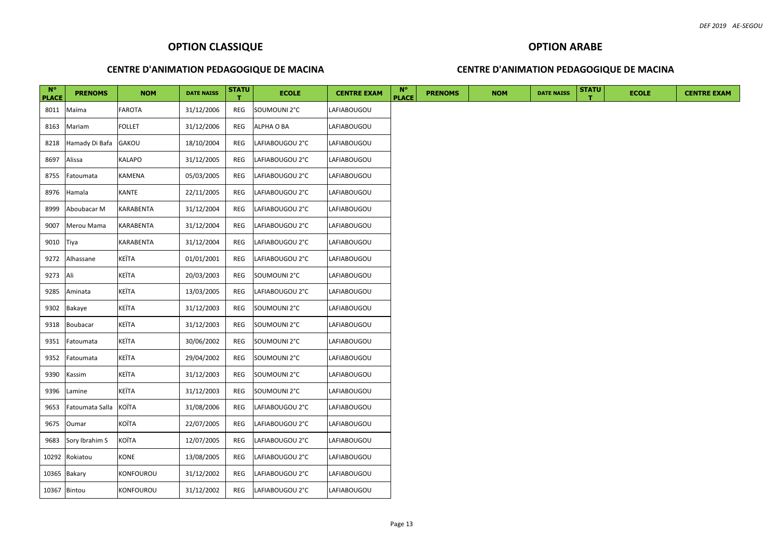#### **OPTION ARABE**

#### **CENTRE D'ANIMATION PEDAGOGIQUE DE MACINA**

| $N^{\circ}$<br><b>PLACE</b> | <b>PRENOMS</b>       | <b>NOM</b> | <b>DATE NAISS</b> | <b>STATU</b> | <b>ECOLE</b>    | <b>CENTRE EXAM</b> | $N^{\circ}$<br><b>PLACE</b> | <b>PRENOMS</b> | <b>NOM</b> | <b>DATE NAISS</b> | <b>STATU</b> | <b>ECOLE</b> | <b>CENTRE EXAM</b> |
|-----------------------------|----------------------|------------|-------------------|--------------|-----------------|--------------------|-----------------------------|----------------|------------|-------------------|--------------|--------------|--------------------|
|                             | 8011 Maïma           | FAROTA     | 31/12/2006        | REG          | SOUMOUNI 2°C    | LAFIABOUGOU        |                             |                |            |                   |              |              |                    |
| 8163                        | Mariam               | FOLLET     | 31/12/2006        | REG          | ALPHA O BA      | LAFIABOUGOU        |                             |                |            |                   |              |              |                    |
| 8218                        | Hamady Di Bafa GAKOU |            | 18/10/2004        | REG          | LAFIABOUGOU 2°C | LAFIABOUGOU        |                             |                |            |                   |              |              |                    |
| 8697                        | Alissa               | KALAPO     | 31/12/2005        | REG          | LAFIABOUGOU 2°C | LAFIABOUGOU        |                             |                |            |                   |              |              |                    |
| 8755                        | Fatoumata            | KAMENA     | 05/03/2005        | REG          | LAFIABOUGOU 2°C | LAFIABOUGOU        |                             |                |            |                   |              |              |                    |
| 8976                        | Hamala               | KANTE      | 22/11/2005        | REG          | LAFIABOUGOU 2°C | LAFIABOUGOU        |                             |                |            |                   |              |              |                    |
| 8999                        | Aboubacar M          | KARABENTA  | 31/12/2004        | REG          | LAFIABOUGOU 2°C | LAFIABOUGOU        |                             |                |            |                   |              |              |                    |
| 9007                        | Merou Mama           | KARABENTA  | 31/12/2004        | REG          | LAFIABOUGOU 2°C | LAFIABOUGOU        |                             |                |            |                   |              |              |                    |
| 9010                        | Tiya                 | KARABENTA  | 31/12/2004        | REG          | LAFIABOUGOU 2°C | LAFIABOUGOU        |                             |                |            |                   |              |              |                    |
| 9272                        | Alhassane            | KEÏTA      | 01/01/2001        | REG          | LAFIABOUGOU 2°C | LAFIABOUGOU        |                             |                |            |                   |              |              |                    |
| 9273                        | Ali                  | KEÏTA      | 20/03/2003        | REG          | SOUMOUNI 2°C    | LAFIABOUGOU        |                             |                |            |                   |              |              |                    |
| 9285                        | Aminata              | KEÏTA      | 13/03/2005        | REG          | LAFIABOUGOU 2°C | LAFIABOUGOU        |                             |                |            |                   |              |              |                    |
| 9302                        | Bakaye               | KEÏTA      | 31/12/2003        | REG          | SOUMOUNI 2°C    | LAFIABOUGOU        |                             |                |            |                   |              |              |                    |
| 9318                        | Boubacar             | KEÏTA      | 31/12/2003        | REG          | SOUMOUNI 2°C    | LAFIABOUGOU        |                             |                |            |                   |              |              |                    |
| 9351                        | Fatoumata            | KEÏTA      | 30/06/2002        | REG          | SOUMOUNI 2°C    | LAFIABOUGOU        |                             |                |            |                   |              |              |                    |
| 9352                        | Fatoumata            | KEÏTA      | 29/04/2002        | REG          | SOUMOUNI 2°C    | LAFIABOUGOU        |                             |                |            |                   |              |              |                    |
| 9390                        | Kassim               | KEÏTA      | 31/12/2003        | REG          | SOUMOUNI 2°C    | LAFIABOUGOU        |                             |                |            |                   |              |              |                    |
| 9396                        | Lamine               | KEÏTA      | 31/12/2003        | REG          | SOUMOUNI 2°C    | LAFIABOUGOU        |                             |                |            |                   |              |              |                    |
| 9653                        | Fatoumata Salla      | KOÏTA      | 31/08/2006        | REG          | LAFIABOUGOU 2°C | LAFIABOUGOU        |                             |                |            |                   |              |              |                    |
| 9675                        | Oumar                | KOÏTA      | 22/07/2005        | REG          | LAFIABOUGOU 2°C | LAFIABOUGOU        |                             |                |            |                   |              |              |                    |
| 9683                        | Sory Ibrahim S       | KOÏTA      | 12/07/2005        | REG          | LAFIABOUGOU 2°C | LAFIABOUGOU        |                             |                |            |                   |              |              |                    |
|                             | 10292 Rokiatou       | KONE       | 13/08/2005        | REG          | LAFIABOUGOU 2°C | LAFIABOUGOU        |                             |                |            |                   |              |              |                    |
|                             | 10365 Bakary         | KONFOUROU  | 31/12/2002        | REG          | LAFIABOUGOU 2°C | LAFIABOUGOU        |                             |                |            |                   |              |              |                    |
|                             | 10367 Bintou         | KONFOUROU  | 31/12/2002        | REG          | LAFIABOUGOU 2°C | LAFIABOUGOU        |                             |                |            |                   |              |              |                    |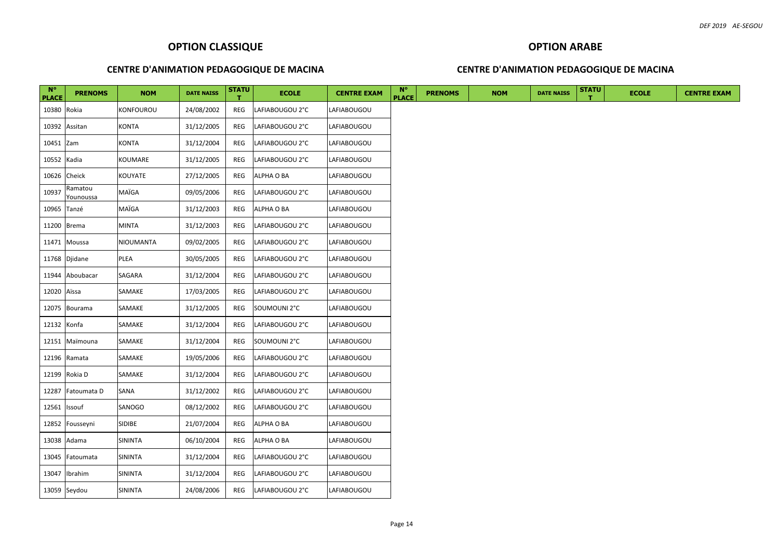#### **OPTION ARABE**

#### **CENTRE D'ANIMATION PEDAGOGIQUE DE MACINA**

| $N^{\circ}$<br><b>PLACE</b> | <b>PRENOMS</b>       | <b>NOM</b>    | <b>DATE NAISS</b> | <b>STATU</b> | <b>ECOLE</b>    | <b>CENTRE EXAM</b> | $N^{\circ}$<br><b>PLACE</b> | <b>PRENOMS</b> | <b>NOM</b> | <b>DATE NAISS</b> | <b>STATU</b> | <b>ECOLE</b> | <b>CENTRE EXAM</b> |
|-----------------------------|----------------------|---------------|-------------------|--------------|-----------------|--------------------|-----------------------------|----------------|------------|-------------------|--------------|--------------|--------------------|
| 10380 Rokia                 |                      | KONFOUROU     | 24/08/2002        | REG          | LAFIABOUGOU 2°C | LAFIABOUGOU        |                             |                |            |                   |              |              |                    |
|                             | 10392 Assitan        | KONTA         | 31/12/2005        | REG          | LAFIABOUGOU 2°C | LAFIABOUGOU        |                             |                |            |                   |              |              |                    |
| 10451 Zam                   |                      | <b>KONTA</b>  | 31/12/2004        | REG          | LAFIABOUGOU 2°C | LAFIABOUGOU        |                             |                |            |                   |              |              |                    |
| 10552 Kadia                 |                      | KOUMARE       | 31/12/2005        | REG          | LAFIABOUGOU 2°C | LAFIABOUGOU        |                             |                |            |                   |              |              |                    |
|                             | 10626 Cheick         | KOUYATE       | 27/12/2005        | REG          | ALPHA O BA      | LAFIABOUGOU        |                             |                |            |                   |              |              |                    |
| 10937                       | Ramatou<br>Younoussa | MAÏGA         | 09/05/2006        | REG          | LAFIABOUGOU 2°C | LAFIABOUGOU        |                             |                |            |                   |              |              |                    |
| 10965 Tanzé                 |                      | MAÏGA         | 31/12/2003        | REG          | ALPHA O BA      | LAFIABOUGOU        |                             |                |            |                   |              |              |                    |
|                             | 11200 Brema          | MINTA         | 31/12/2003        | REG          | LAFIABOUGOU 2°C | LAFIABOUGOU        |                             |                |            |                   |              |              |                    |
|                             | 11471 Moussa         | NIOUMANTA     | 09/02/2005        | REG          | LAFIABOUGOU 2°C | LAFIABOUGOU        |                             |                |            |                   |              |              |                    |
|                             | 11768 Djidane        | PLEA          | 30/05/2005        | REG          | LAFIABOUGOU 2°C | LAFIABOUGOU        |                             |                |            |                   |              |              |                    |
|                             | 11944 Aboubacar      | SAGARA        | 31/12/2004        | REG          | LAFIABOUGOU 2°C | LAFIABOUGOU        |                             |                |            |                   |              |              |                    |
| 12020 Aïssa                 |                      | SAMAKE        | 17/03/2005        | REG          | LAFIABOUGOU 2°C | LAFIABOUGOU        |                             |                |            |                   |              |              |                    |
|                             | 12075 Bourama        | SAMAKE        | 31/12/2005        | REG          | SOUMOUNI 2°C    | LAFIABOUGOU        |                             |                |            |                   |              |              |                    |
| 12132 Konfa                 |                      | SAMAKE        | 31/12/2004        | REG          | LAFIABOUGOU 2°C | LAFIABOUGOU        |                             |                |            |                   |              |              |                    |
|                             | 12151 Maïmouna       | SAMAKE        | 31/12/2004        | REG          | SOUMOUNI 2°C    | LAFIABOUGOU        |                             |                |            |                   |              |              |                    |
| 12196                       | Ramata               | SAMAKE        | 19/05/2006        | REG          | LAFIABOUGOU 2°C | LAFIABOUGOU        |                             |                |            |                   |              |              |                    |
|                             | 12199 Rokia D        | SAMAKE        | 31/12/2004        | REG          | LAFIABOUGOU 2°C | LAFIABOUGOU        |                             |                |            |                   |              |              |                    |
| 12287                       | Fatoumata D          | SANA          | 31/12/2002        | REG          | LAFIABOUGOU 2°C | LAFIABOUGOU        |                             |                |            |                   |              |              |                    |
| 12561                       | Issouf               | SANOGO        | 08/12/2002        | REG          | LAFIABOUGOU 2°C | LAFIABOUGOU        |                             |                |            |                   |              |              |                    |
|                             | 12852 Fousseyni      | <b>SIDIBE</b> | 21/07/2004        | REG          | ALPHA O BA      | LAFIABOUGOU        |                             |                |            |                   |              |              |                    |
|                             | 13038 Adama          | SININTA       | 06/10/2004        | REG          | ALPHA O BA      | LAFIABOUGOU        |                             |                |            |                   |              |              |                    |
| 13045                       | Fatoumata            | SININTA       | 31/12/2004        | REG          | LAFIABOUGOU 2°C | LAFIABOUGOU        |                             |                |            |                   |              |              |                    |
| 13047                       | Ibrahim              | SININTA       | 31/12/2004        | REG          | LAFIABOUGOU 2°C | LAFIABOUGOU        |                             |                |            |                   |              |              |                    |
|                             | 13059 Seydou         | SININTA       | 24/08/2006        | REG          | LAFIABOUGOU 2°C | LAFIABOUGOU        |                             |                |            |                   |              |              |                    |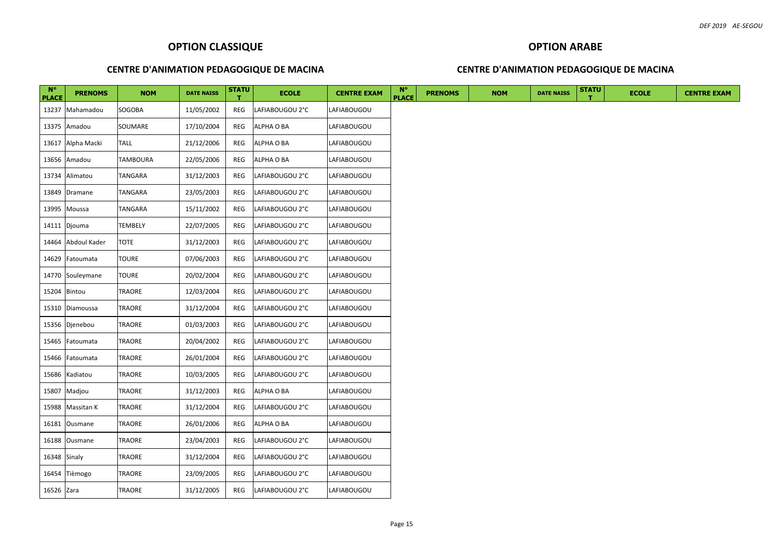#### **OPTION ARABE**

#### **CENTRE D'ANIMATION PEDAGOGIQUE DE MACINA**

| $N^{\circ}$<br><b>PLACE</b> | <b>PRENOMS</b>     | <b>NOM</b>      | <b>DATE NAISS</b> | <b>STATU</b> | <b>ECOLE</b>    | <b>CENTRE EXAM</b> | $N^{\circ}$<br><b>PLACE</b> | <b>PRENOMS</b> | <b>NOM</b> | <b>DATE NAISS</b> | <b>STATU</b> | <b>ECOLE</b> | <b>CENTRE EXAM</b> |
|-----------------------------|--------------------|-----------------|-------------------|--------------|-----------------|--------------------|-----------------------------|----------------|------------|-------------------|--------------|--------------|--------------------|
|                             | 13237 Mahamadou    | SOGOBA          | 11/05/2002        | REG          | LAFIABOUGOU 2°C | LAFIABOUGOU        |                             |                |            |                   |              |              |                    |
|                             | 13375 Amadou       | SOUMARE         | 17/10/2004        | REG          | ALPHA O BA      | LAFIABOUGOU        |                             |                |            |                   |              |              |                    |
|                             | 13617 Alpha Macki  | <b>TALL</b>     | 21/12/2006        | REG          | ALPHA O BA      | LAFIABOUGOU        |                             |                |            |                   |              |              |                    |
|                             | 13656 Amadou       | <b>TAMBOURA</b> | 22/05/2006        | REG          | ALPHA O BA      | LAFIABOUGOU        |                             |                |            |                   |              |              |                    |
| 13734                       | Alimatou           | TANGARA         | 31/12/2003        | REG          | LAFIABOUGOU 2°C | LAFIABOUGOU        |                             |                |            |                   |              |              |                    |
|                             | 13849 Dramane      | TANGARA         | 23/05/2003        | REG          | LAFIABOUGOU 2°C | LAFIABOUGOU        |                             |                |            |                   |              |              |                    |
|                             | 13995 Moussa       | TANGARA         | 15/11/2002        | REG          | LAFIABOUGOU 2°C | LAFIABOUGOU        |                             |                |            |                   |              |              |                    |
|                             | 14111 Djouma       | TEMBELY         | 22/07/2005        | REG          | LAFIABOUGOU 2°C | LAFIABOUGOU        |                             |                |            |                   |              |              |                    |
|                             | 14464 Abdoul Kader | <b>TOTE</b>     | 31/12/2003        | REG          | LAFIABOUGOU 2°C | LAFIABOUGOU        |                             |                |            |                   |              |              |                    |
|                             | 14629 Fatoumata    | <b>TOURE</b>    | 07/06/2003        | REG          | LAFIABOUGOU 2°C | LAFIABOUGOU        |                             |                |            |                   |              |              |                    |
|                             | 14770 Souleymane   | <b>TOURE</b>    | 20/02/2004        | REG          | LAFIABOUGOU 2°C | LAFIABOUGOU        |                             |                |            |                   |              |              |                    |
| 15204 Bintou                |                    | TRAORE          | 12/03/2004        | REG          | LAFIABOUGOU 2°C | LAFIABOUGOU        |                             |                |            |                   |              |              |                    |
|                             | 15310 Diamoussa    | TRAORE          | 31/12/2004        | REG          | LAFIABOUGOU 2°C | LAFIABOUGOU        |                             |                |            |                   |              |              |                    |
|                             | 15356 Djenebou     | TRAORE          | 01/03/2003        | REG          | LAFIABOUGOU 2°C | LAFIABOUGOU        |                             |                |            |                   |              |              |                    |
| 15465                       | Fatoumata          | TRAORE          | 20/04/2002        | REG          | LAFIABOUGOU 2°C | LAFIABOUGOU        |                             |                |            |                   |              |              |                    |
| 15466                       | Fatoumata          | TRAORE          | 26/01/2004        | REG          | LAFIABOUGOU 2°C | LAFIABOUGOU        |                             |                |            |                   |              |              |                    |
| 15686                       | Kadiatou           | TRAORE          | 10/03/2005        | REG          | LAFIABOUGOU 2°C | LAFIABOUGOU        |                             |                |            |                   |              |              |                    |
|                             | 15807 Madjou       | TRAORE          | 31/12/2003        | REG          | ALPHA O BA      | LAFIABOUGOU        |                             |                |            |                   |              |              |                    |
| 15988                       | Massitan K         | TRAORE          | 31/12/2004        | REG          | LAFIABOUGOU 2°C | LAFIABOUGOU        |                             |                |            |                   |              |              |                    |
| 16181                       | Ousmane            | TRAORE          | 26/01/2006        | REG          | ALPHA O BA      | LAFIABOUGOU        |                             |                |            |                   |              |              |                    |
|                             | 16188 Ousmane      | TRAORE          | 23/04/2003        | REG          | LAFIABOUGOU 2°C | LAFIABOUGOU        |                             |                |            |                   |              |              |                    |
| 16348 Sinaly                |                    | TRAORE          | 31/12/2004        | REG          | LAFIABOUGOU 2°C | LAFIABOUGOU        |                             |                |            |                   |              |              |                    |
|                             | 16454 Tièmogo      | TRAORE          | 23/09/2005        | REG          | LAFIABOUGOU 2°C | LAFIABOUGOU        |                             |                |            |                   |              |              |                    |
| 16526 Zara                  |                    | TRAORE          | 31/12/2005        | REG          | LAFIABOUGOU 2°C | LAFIABOUGOU        |                             |                |            |                   |              |              |                    |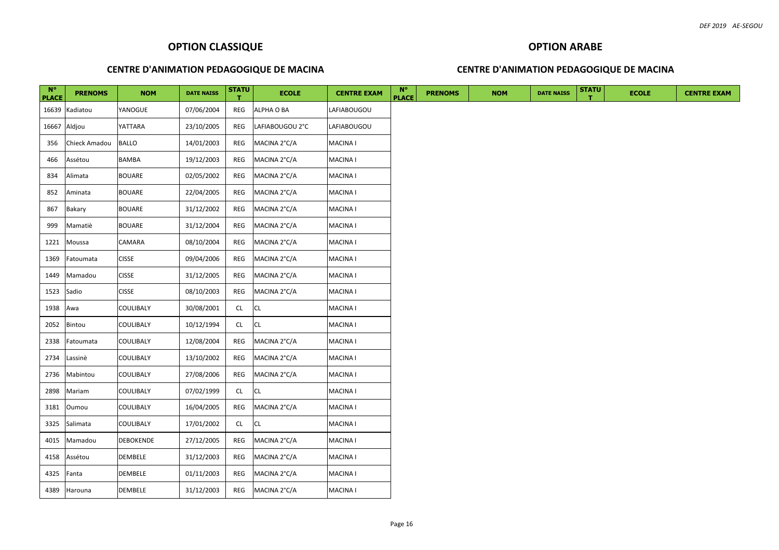# **OPTION ARABE**

#### **CENTRE D'ANIMATION PEDAGOGIQUE DE MACINA**

| $N^{\circ}$<br><b>PLACE</b> | <b>PRENOMS</b> | <b>NOM</b>    | <b>DATE NAISS</b> | <b>STATU</b> | <b>ECOLE</b>    | <b>CENTRE EXAM</b> | $N^{\circ}$<br><b>PLACE</b> | <b>PRENOMS</b> | <b>NOM</b> | <b>DATE NAISS</b> | <b>STATU</b> | <b>ECOLE</b> | <b>CENTRE EXAM</b> |
|-----------------------------|----------------|---------------|-------------------|--------------|-----------------|--------------------|-----------------------------|----------------|------------|-------------------|--------------|--------------|--------------------|
|                             | 16639 Kadiatou | YANOGUE       | 07/06/2004        | REG          | ALPHA O BA      | LAFIABOUGOU        |                             |                |            |                   |              |              |                    |
|                             | 16667 Aldjou   | YATTARA       | 23/10/2005        | REG          | LAFIABOUGOU 2°C | LAFIABOUGOU        |                             |                |            |                   |              |              |                    |
| 356                         | Chieck Amadou  | <b>BALLO</b>  | 14/01/2003        | REG          | MACINA 2°C/A    | MACINA I           |                             |                |            |                   |              |              |                    |
| 466                         | Assétou        | BAMBA         | 19/12/2003        | REG          | MACINA 2°C/A    | MACINA I           |                             |                |            |                   |              |              |                    |
| 834                         | Alimata        | BOUARE        | 02/05/2002        | REG          | MACINA 2°C/A    | MACINA I           |                             |                |            |                   |              |              |                    |
| 852                         | Aminata        | <b>BOUARE</b> | 22/04/2005        | REG          | MACINA 2°C/A    | MACINA I           |                             |                |            |                   |              |              |                    |
| 867                         | Bakary         | BOUARE        | 31/12/2002        | REG          | MACINA 2°C/A    | MACINA I           |                             |                |            |                   |              |              |                    |
| 999                         | Mamatiè        | <b>BOUARE</b> | 31/12/2004        | REG          | MACINA 2°C/A    | MACINA I           |                             |                |            |                   |              |              |                    |
| 1221                        | Moussa         | CAMARA        | 08/10/2004        | REG          | MACINA 2°C/A    | MACINA I           |                             |                |            |                   |              |              |                    |
| 1369                        | Fatoumata      | <b>CISSE</b>  | 09/04/2006        | REG          | MACINA 2°C/A    | MACINA I           |                             |                |            |                   |              |              |                    |
| 1449                        | Mamadou        | <b>CISSE</b>  | 31/12/2005        | REG          | MACINA 2°C/A    | <b>MACINA I</b>    |                             |                |            |                   |              |              |                    |
| 1523                        | Sadio          | <b>CISSE</b>  | 08/10/2003        | REG          | MACINA 2°C/A    | <b>MACINA I</b>    |                             |                |            |                   |              |              |                    |
| 1938                        | Awa            | COULIBALY     | 30/08/2001        | CL.          | <b>ICL</b>      | MACINA I           |                             |                |            |                   |              |              |                    |
| 2052                        | Bintou         | COULIBALY     | 10/12/1994        | <b>CL</b>    | <b>CL</b>       | <b>MACINA I</b>    |                             |                |            |                   |              |              |                    |
| 2338                        | Fatoumata      | COULIBALY     | 12/08/2004        | REG          | MACINA 2°C/A    | <b>MACINA I</b>    |                             |                |            |                   |              |              |                    |
| 2734                        | Lassinè        | COULIBALY     | 13/10/2002        | REG          | MACINA 2°C/A    | <b>MACINA I</b>    |                             |                |            |                   |              |              |                    |
| 2736                        | Mabintou       | COULIBALY     | 27/08/2006        | REG          | MACINA 2°C/A    | <b>MACINA I</b>    |                             |                |            |                   |              |              |                    |
| 2898                        | Mariam         | COULIBALY     | 07/02/1999        | CL.          | <b>CL</b>       | <b>MACINA I</b>    |                             |                |            |                   |              |              |                    |
| 3181                        | Oumou          | COULIBALY     | 16/04/2005        | REG          | MACINA 2°C/A    | <b>MACINA I</b>    |                             |                |            |                   |              |              |                    |
| 3325                        | Salimata       | COULIBALY     | 17/01/2002        | <b>CL</b>    | <b>CL</b>       | <b>MACINA I</b>    |                             |                |            |                   |              |              |                    |
| 4015                        | Mamadou        | DEBOKENDE     | 27/12/2005        | REG          | MACINA 2°C/A    | MACINA I           |                             |                |            |                   |              |              |                    |
| 4158                        | Assétou        | DEMBELE       | 31/12/2003        | REG          | MACINA 2°C/A    | <b>MACINA I</b>    |                             |                |            |                   |              |              |                    |
| 4325                        | Fanta          | DEMBELE       | 01/11/2003        | REG          | MACINA 2°C/A    | MACINA I           |                             |                |            |                   |              |              |                    |
| 4389                        | Harouna        | DEMBELE       | 31/12/2003        | REG          | MACINA 2°C/A    | MACINA I           |                             |                |            |                   |              |              |                    |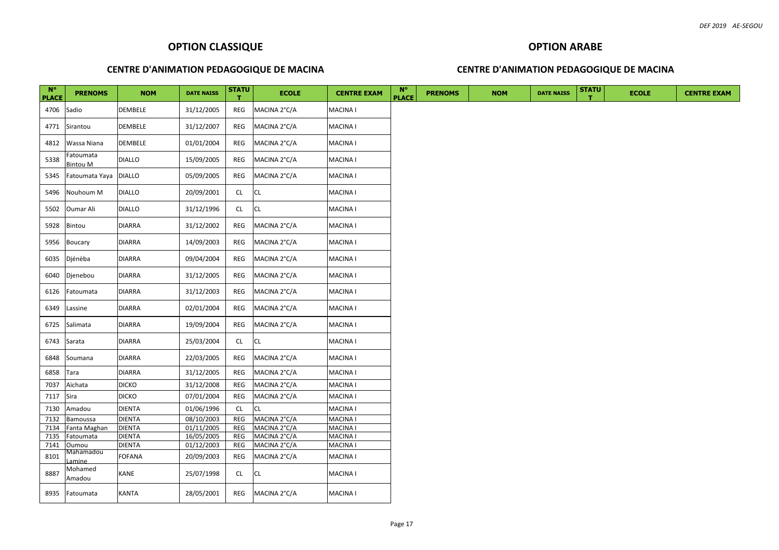# **OPTION ARABE**

#### **CENTRE D'ANIMATION PEDAGOGIQUE DE MACINA**

| $N^{\circ}$<br><b>PLACE</b> | <b>PRENOMS</b>               | <b>NOM</b>     | <b>DATE NAISS</b> | <b>STATU</b><br>т | <b>ECOLE</b> | <b>CENTRE EXAM</b> | $N^{\circ}$<br><b>PLACE</b> | <b>PRENOMS</b> | <b>NOM</b> | <b>DATE NAISS</b> | <b>STATU</b> | <b>ECOLE</b> | <b>CENTRE EXAM</b> |
|-----------------------------|------------------------------|----------------|-------------------|-------------------|--------------|--------------------|-----------------------------|----------------|------------|-------------------|--------------|--------------|--------------------|
| 4706                        | Sadio                        | <b>DEMBELE</b> | 31/12/2005        | REG               | MACINA 2°C/A | <b>MACINA I</b>    |                             |                |            |                   |              |              |                    |
| 4771                        | Sirantou                     | DEMBELE        | 31/12/2007        | REG               | MACINA 2°C/A | <b>MACINA I</b>    |                             |                |            |                   |              |              |                    |
| 4812                        | Wassa Niana                  | DEMBELE        | 01/01/2004        | REG               | MACINA 2°C/A | <b>MACINA I</b>    |                             |                |            |                   |              |              |                    |
| 5338                        | Fatoumata<br><b>Bintou M</b> | <b>DIALLO</b>  | 15/09/2005        | REG               | MACINA 2°C/A | <b>MACINA1</b>     |                             |                |            |                   |              |              |                    |
| 5345                        | Fatoumata Yaya               | <b>DIALLO</b>  | 05/09/2005        | REG               | MACINA 2°C/A | <b>MACINA I</b>    |                             |                |            |                   |              |              |                    |
| 5496                        | Nouhoum M                    | <b>DIALLO</b>  | 20/09/2001        | <b>CL</b>         | CL.          | <b>MACINA I</b>    |                             |                |            |                   |              |              |                    |
| 5502                        | Oumar Ali                    | <b>DIALLO</b>  | 31/12/1996        | <b>CL</b>         | CL           | <b>MACINA I</b>    |                             |                |            |                   |              |              |                    |
| 5928                        | Bintou                       | <b>DIARRA</b>  | 31/12/2002        | REG               | MACINA 2°C/A | MACINA I           |                             |                |            |                   |              |              |                    |
| 5956                        | Boucary                      | <b>DIARRA</b>  | 14/09/2003        | REG               | MACINA 2°C/A | MACINA I           |                             |                |            |                   |              |              |                    |
| 6035                        | Djénèba                      | <b>DIARRA</b>  | 09/04/2004        | REG               | MACINA 2°C/A | <b>MACINA I</b>    |                             |                |            |                   |              |              |                    |
| 6040                        | Djenebou                     | <b>DIARRA</b>  | 31/12/2005        | REG               | MACINA 2°C/A | <b>MACINA I</b>    |                             |                |            |                   |              |              |                    |
| 6126                        | Fatoumata                    | <b>DIARRA</b>  | 31/12/2003        | REG               | MACINA 2°C/A | <b>MACINA I</b>    |                             |                |            |                   |              |              |                    |
| 6349                        | Lassine                      | <b>DIARRA</b>  | 02/01/2004        | REG               | MACINA 2°C/A | <b>MACINA I</b>    |                             |                |            |                   |              |              |                    |
| 6725                        | Salimata                     | <b>DIARRA</b>  | 19/09/2004        | REG               | MACINA 2°C/A | MACINA I           |                             |                |            |                   |              |              |                    |
| 6743                        | Sarata                       | <b>DIARRA</b>  | 25/03/2004        | <b>CL</b>         | <b>CL</b>    | <b>MACINA I</b>    |                             |                |            |                   |              |              |                    |
| 6848                        | Soumana                      | <b>DIARRA</b>  | 22/03/2005        | REG               | MACINA 2°C/A | <b>MACINA I</b>    |                             |                |            |                   |              |              |                    |
| 6858                        | Tara                         | <b>DIARRA</b>  | 31/12/2005        | REG               | MACINA 2°C/A | <b>MACINA I</b>    |                             |                |            |                   |              |              |                    |
| 7037                        | Aïchata                      | <b>DICKO</b>   | 31/12/2008        | REG               | MACINA 2°C/A | <b>MACINA1</b>     |                             |                |            |                   |              |              |                    |
| 7117                        | Sira                         | <b>DICKO</b>   | 07/01/2004        | REG               | MACINA 2°C/A | <b>MACINA1</b>     |                             |                |            |                   |              |              |                    |
| 7130                        | Amadou                       | <b>DIENTA</b>  | 01/06/1996        | CL                | CL.          | <b>MACINA1</b>     |                             |                |            |                   |              |              |                    |
| 7132                        | Bamoussa                     | <b>DIENTA</b>  | 08/10/2003        | REG               | MACINA 2°C/A | MACINA I           |                             |                |            |                   |              |              |                    |
| 7134                        | Fanta Maghan                 | <b>DIENTA</b>  | 01/11/2005        | REG               | MACINA 2°C/A | <b>MACINA I</b>    |                             |                |            |                   |              |              |                    |
| 7135                        | Fatoumata                    | <b>DIENTA</b>  | 16/05/2005        | REG               | MACINA 2°C/A | <b>MACINA1</b>     |                             |                |            |                   |              |              |                    |
| 7141                        | Oumou                        | <b>DIENTA</b>  | 01/12/2003        | REG               | MACINA 2°C/A | <b>MACINA1</b>     |                             |                |            |                   |              |              |                    |
| 8101                        | Mahamadou<br>amine           | <b>FOFANA</b>  | 20/09/2003        | REG               | MACINA 2°C/A | <b>MACINA1</b>     |                             |                |            |                   |              |              |                    |
| 8887                        | Mohamed<br>Amadou            | KANE           | 25/07/1998        | CL                | CL.          | <b>MACINA I</b>    |                             |                |            |                   |              |              |                    |
| 8935                        | Fatoumata                    | <b>KANTA</b>   | 28/05/2001        | REG               | MACINA 2°C/A | <b>MACINA I</b>    |                             |                |            |                   |              |              |                    |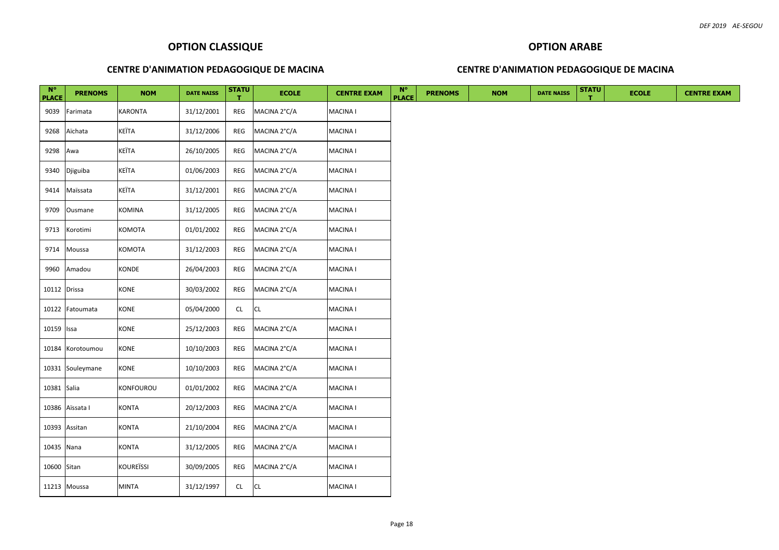# **OPTION ARABE**

## **CENTRE D'ANIMATION PEDAGOGIQUE DE MACINA**

| $N^{\circ}$<br><b>PLACE</b> | <b>PRENOMS</b>   | <b>NOM</b>       | <b>DATE NAISS</b> | <b>STATU</b><br>T. | <b>ECOLE</b> | <b>CENTRE EXAM</b> | $N^{\circ}$<br><b>PLACE</b> | <b>PRENOMS</b> | <b>NOM</b> | <b>DATE NAISS</b> | <b>STATU</b> | <b>ECOLE</b> | <b>CENTRE EXAM</b> |
|-----------------------------|------------------|------------------|-------------------|--------------------|--------------|--------------------|-----------------------------|----------------|------------|-------------------|--------------|--------------|--------------------|
| 9039                        | Farimata         | <b>KARONTA</b>   | 31/12/2001        | REG                | MACINA 2°C/A | MACINA I           |                             |                |            |                   |              |              |                    |
| 9268                        | Aïchata          | KEÏTA            | 31/12/2006        | REG                | MACINA 2°C/A | <b>MACINA1</b>     |                             |                |            |                   |              |              |                    |
| 9298                        | Awa              | KEÏTA            | 26/10/2005        | REG                | MACINA 2°C/A | MACINA I           |                             |                |            |                   |              |              |                    |
| 9340                        | Djiguiba         | <b>KEÏTA</b>     | 01/06/2003        | REG                | MACINA 2°C/A | MACINA I           |                             |                |            |                   |              |              |                    |
| 9414                        | Maïssata         | KEÏTA            | 31/12/2001        | REG                | MACINA 2°C/A | MACINA I           |                             |                |            |                   |              |              |                    |
| 9709                        | Ousmane          | <b>KOMINA</b>    | 31/12/2005        | REG                | MACINA 2°C/A | MACINA I           |                             |                |            |                   |              |              |                    |
| 9713                        | Korotimi         | KOMOTA           | 01/01/2002        | REG                | MACINA 2°C/A | <b>MACINA1</b>     |                             |                |            |                   |              |              |                    |
| 9714                        | Moussa           | KOMOTA           | 31/12/2003        | REG                | MACINA 2°C/A | MACINA I           |                             |                |            |                   |              |              |                    |
| 9960                        | Amadou           | KONDE            | 26/04/2003        | REG                | MACINA 2°C/A | MACINA I           |                             |                |            |                   |              |              |                    |
| 10112 Drissa                |                  | KONE             | 30/03/2002        | REG                | MACINA 2°C/A | MACINA I           |                             |                |            |                   |              |              |                    |
| 10122                       | Fatoumata        | <b>KONE</b>      | 05/04/2000        | <b>CL</b>          | <b>CL</b>    | MACINA I           |                             |                |            |                   |              |              |                    |
| 10159 Issa                  |                  | KONE             | 25/12/2003        | REG                | MACINA 2°C/A | <b>MACINA I</b>    |                             |                |            |                   |              |              |                    |
| 10184                       | Korotoumou       | <b>KONE</b>      | 10/10/2003        | REG                | MACINA 2°C/A | MACINA I           |                             |                |            |                   |              |              |                    |
|                             | 10331 Souleymane | <b>KONE</b>      | 10/10/2003        | REG                | MACINA 2°C/A | <b>MACINA1</b>     |                             |                |            |                   |              |              |                    |
| 10381 Salia                 |                  | <b>KONFOUROU</b> | 01/01/2002        | REG                | MACINA 2°C/A | <b>MACINA1</b>     |                             |                |            |                   |              |              |                    |
| 10386                       | Aïssata I        | <b>KONTA</b>     | 20/12/2003        | REG                | MACINA 2°C/A | MACINA I           |                             |                |            |                   |              |              |                    |
|                             | 10393 Assitan    | <b>KONTA</b>     | 21/10/2004        | REG                | MACINA 2°C/A | MACINA I           |                             |                |            |                   |              |              |                    |
| 10435 Nana                  |                  | <b>KONTA</b>     | 31/12/2005        | REG                | MACINA 2°C/A | MACINA I           |                             |                |            |                   |              |              |                    |
| 10600 Sitan                 |                  | <b>KOUREÏSSI</b> | 30/09/2005        | REG                | MACINA 2°C/A | MACINA I           |                             |                |            |                   |              |              |                    |
|                             | 11213 Moussa     | <b>MINTA</b>     | 31/12/1997        | CL                 | <b>CL</b>    | MACINA I           |                             |                |            |                   |              |              |                    |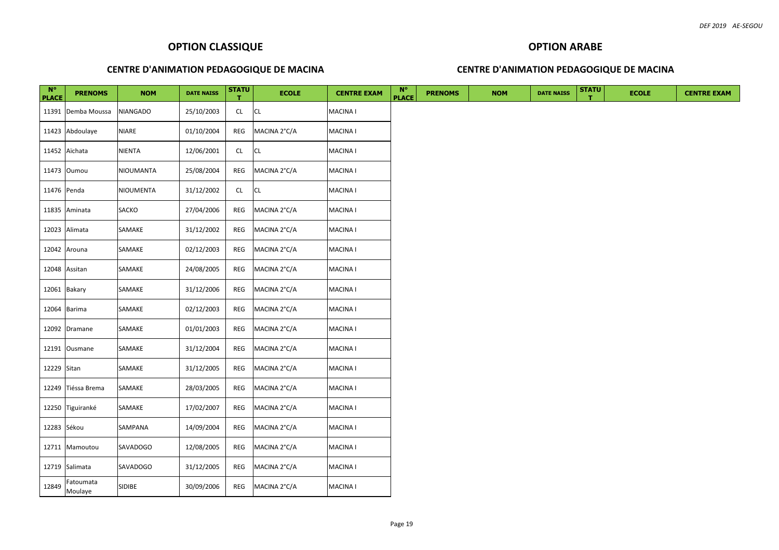# **OPTION ARABE**

## **CENTRE D'ANIMATION PEDAGOGIQUE DE MACINA**

| $N^{\circ}$  |                              |                  |                   |                    |              |                    |                             |                |            |                   |              |              |
|--------------|------------------------------|------------------|-------------------|--------------------|--------------|--------------------|-----------------------------|----------------|------------|-------------------|--------------|--------------|
| <b>PLACE</b> | <b>PRENOMS</b>               | <b>NOM</b>       | <b>DATE NAISS</b> | <b>STATU</b><br>т. | <b>ECOLE</b> | <b>CENTRE EXAM</b> | $N^{\circ}$<br><b>PLACE</b> | <b>PRENOMS</b> | <b>NOM</b> | <b>DATE NAISS</b> | <b>STATU</b> | <b>ECOLE</b> |
|              | 11391 Demba Moussa           | NIANGADO         | 25/10/2003        | <b>CL</b>          | <b>CL</b>    | <b>MACINA I</b>    |                             |                |            |                   |              |              |
|              | 11423 Abdoulaye              | NIARE            | 01/10/2004        | REG                | MACINA 2°C/A | <b>MACINA1</b>     |                             |                |            |                   |              |              |
|              | 11452 Aïchata                | NIENTA           | 12/06/2001        | CL                 | CL           | <b>MACINA1</b>     |                             |                |            |                   |              |              |
|              | 11473 Oumou                  | <b>NIOUMANTA</b> | 25/08/2004        | REG                | MACINA 2°C/A | <b>MACINA1</b>     |                             |                |            |                   |              |              |
| 11476 Penda  |                              | <b>NIOUMENTA</b> | 31/12/2002        | CL.                | CL           | <b>MACINA1</b>     |                             |                |            |                   |              |              |
|              | 11835 Aminata                | SACKO            | 27/04/2006        | REG                | MACINA 2°C/A | <b>MACINA I</b>    |                             |                |            |                   |              |              |
|              | 12023 Alimata                | SAMAKE           | 31/12/2002        | REG                | MACINA 2°C/A | <b>MACINA I</b>    |                             |                |            |                   |              |              |
|              | 12042 Arouna                 | SAMAKE           | 02/12/2003        | REG                | MACINA 2°C/A | <b>MACINA1</b>     |                             |                |            |                   |              |              |
|              | 12048 Assitan                | SAMAKE           | 24/08/2005        | REG                | MACINA 2°C/A | <b>MACINA I</b>    |                             |                |            |                   |              |              |
|              | 12061 Bakary                 | SAMAKE           | 31/12/2006        | REG                | MACINA 2°C/A | <b>MACINA1</b>     |                             |                |            |                   |              |              |
|              | 12064 Barima                 | SAMAKE           | 02/12/2003        | REG                | MACINA 2°C/A | <b>MACINA I</b>    |                             |                |            |                   |              |              |
|              | 12092 Dramane                | SAMAKE           | 01/01/2003        | REG                | MACINA 2°C/A | <b>MACINA I</b>    |                             |                |            |                   |              |              |
|              | 12191 Ousmane                | SAMAKE           | 31/12/2004        | REG                | MACINA 2°C/A | <b>MACINA I</b>    |                             |                |            |                   |              |              |
| 12229 Sitan  |                              | SAMAKE           | 31/12/2005        | REG                | MACINA 2°C/A | <b>MACINA1</b>     |                             |                |            |                   |              |              |
|              | 12249 Tiéssa Brema           | SAMAKE           | 28/03/2005        | REG                | MACINA 2°C/A | <b>MACINA1</b>     |                             |                |            |                   |              |              |
|              | 12250 Tiguiranké             | SAMAKE           | 17/02/2007        | REG                | MACINA 2°C/A | <b>MACINA I</b>    |                             |                |            |                   |              |              |
| 12283 Sékou  |                              | SAMPANA          | 14/09/2004        | REG                | MACINA 2°C/A | <b>MACINA1</b>     |                             |                |            |                   |              |              |
|              | 12711 Mamoutou               | SAVADOGO         | 12/08/2005        | REG                | MACINA 2°C/A | <b>MACINA I</b>    |                             |                |            |                   |              |              |
|              | 12719 Salimata               | <b>SAVADOGO</b>  | 31/12/2005        | REG                | MACINA 2°C/A | <b>MACINA1</b>     |                             |                |            |                   |              |              |
|              | Fatoumata<br>$12849$ Moulaye | <b>SIDIBE</b>    | 30/09/2006        | REG                | MACINA 2°C/A | <b>MACINA I</b>    |                             |                |            |                   |              |              |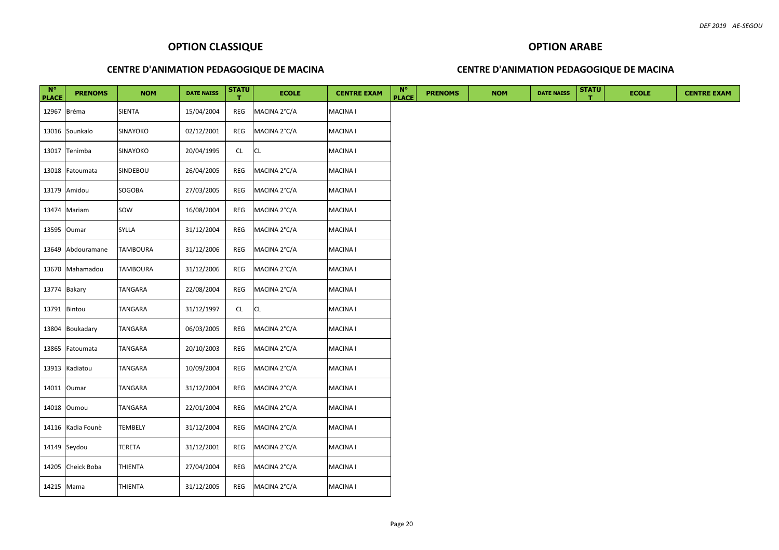# **OPTION ARABE**

## **CENTRE D'ANIMATION PEDAGOGIQUE DE MACINA**

| $N^{\circ}$<br><b>PLACE</b> | <b>PRENOMS</b>    | <b>NOM</b> | <b>DATE NAISS</b> | <b>STATU</b><br>т. | <b>ECOLE</b> | <b>CENTRE EXAM</b> | $N^{\circ}$<br><b>PLACE</b> | <b>PRENOMS</b> | <b>NOM</b> | <b>DATE NAISS</b> | <b>STATU</b> | <b>ECOLE</b> | <b>CENTRE EXAM</b> |
|-----------------------------|-------------------|------------|-------------------|--------------------|--------------|--------------------|-----------------------------|----------------|------------|-------------------|--------------|--------------|--------------------|
| 12967 Bréma                 |                   | SIENTA     | 15/04/2004        | REG                | MACINA 2°C/A | <b>MACINA I</b>    |                             |                |            |                   |              |              |                    |
|                             | 13016 Sounkalo    | SINAYOKO   | 02/12/2001        | REG                | MACINA 2°C/A | <b>MACINA1</b>     |                             |                |            |                   |              |              |                    |
|                             | 13017 Tenimba     | SINAYOKO   | 20/04/1995        | CL                 | CL           | <b>MACINA I</b>    |                             |                |            |                   |              |              |                    |
|                             | 13018 Fatoumata   | SINDEBOU   | 26/04/2005        | REG                | MACINA 2°C/A | <b>MACINA I</b>    |                             |                |            |                   |              |              |                    |
|                             | 13179 Amidou      | SOGOBA     | 27/03/2005        | REG                | MACINA 2°C/A | <b>MACINA1</b>     |                             |                |            |                   |              |              |                    |
|                             | 13474 Mariam      | SOW        | 16/08/2004        | REG                | MACINA 2°C/A | <b>MACINA I</b>    |                             |                |            |                   |              |              |                    |
|                             | 13595 Oumar       | SYLLA      | 31/12/2004        | REG                | MACINA 2°C/A | <b>MACINA1</b>     |                             |                |            |                   |              |              |                    |
|                             | 13649 Abdouramane | TAMBOURA   | 31/12/2006        | REG                | MACINA 2°C/A | <b>MACINA I</b>    |                             |                |            |                   |              |              |                    |
|                             | 13670 Mahamadou   | TAMBOURA   | 31/12/2006        | REG                | MACINA 2°C/A | <b>MACINA I</b>    |                             |                |            |                   |              |              |                    |
| 13774 Bakary                |                   | TANGARA    | 22/08/2004        | REG                | MACINA 2°C/A | <b>MACINA I</b>    |                             |                |            |                   |              |              |                    |
| 13791 Bintou                |                   | TANGARA    | 31/12/1997        | <b>CL</b>          | CL           | <b>MACINA I</b>    |                             |                |            |                   |              |              |                    |
|                             | 13804 Boukadary   | TANGARA    | 06/03/2005        | REG                | MACINA 2°C/A | <b>MACINA1</b>     |                             |                |            |                   |              |              |                    |
|                             | 13865 Fatoumata   | TANGARA    | 20/10/2003        | REG                | MACINA 2°C/A | <b>MACINA1</b>     |                             |                |            |                   |              |              |                    |
|                             | 13913 Kadiatou    | TANGARA    | 10/09/2004        | REG                | MACINA 2°C/A | <b>MACINA1</b>     |                             |                |            |                   |              |              |                    |
|                             | 14011 Oumar       | TANGARA    | 31/12/2004        | REG                | MACINA 2°C/A | <b>MACINA I</b>    |                             |                |            |                   |              |              |                    |
|                             | 14018 Oumou       | TANGARA    | 22/01/2004        | REG                | MACINA 2°C/A | <b>MACINA1</b>     |                             |                |            |                   |              |              |                    |
|                             | 14116 Kadia Founè | TEMBELY    | 31/12/2004        | REG                | MACINA 2°C/A | <b>MACINA I</b>    |                             |                |            |                   |              |              |                    |
|                             | 14149 Seydou      | TERETA     | 31/12/2001        | REG                | MACINA 2°C/A | <b>MACINA1</b>     |                             |                |            |                   |              |              |                    |
|                             | 14205 Cheick Boba | THIENTA    | 27/04/2004        | REG                | MACINA 2°C/A | <b>MACINA1</b>     |                             |                |            |                   |              |              |                    |
| 14215 Mama                  |                   | THIENTA    | 31/12/2005        | REG                | MACINA 2°C/A | <b>MACINA I</b>    |                             |                |            |                   |              |              |                    |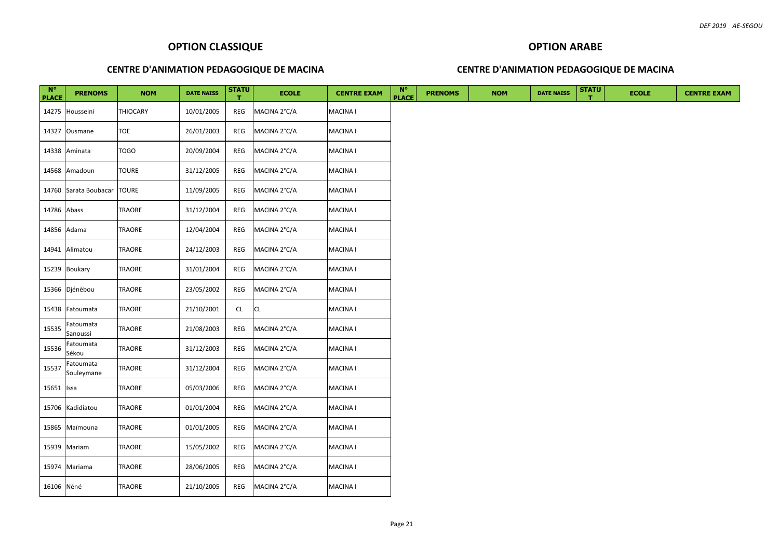## **OPTION ARABE**

## **CENTRE D'ANIMATION PEDAGOGIQUE DE MACINA**

| $N^{\circ}$<br><b>PLACE</b> | <b>PRENOMS</b>          | <b>NOM</b>    | <b>DATE NAISS</b> | <b>STATU</b><br>т. | <b>ECOLE</b> | <b>CENTRE EXAM</b> | $N^{\circ}$<br><b>PLACE</b> | <b>PRENOMS</b> | <b>NOM</b> | <b>DATE NAISS</b> | <b>STATU</b> | <b>ECOLE</b> | <b>CENTRE EXAM</b> |
|-----------------------------|-------------------------|---------------|-------------------|--------------------|--------------|--------------------|-----------------------------|----------------|------------|-------------------|--------------|--------------|--------------------|
|                             | 14275 Housseini         | THIOCARY      | 10/01/2005        | REG                | MACINA 2°C/A | <b>MACINA I</b>    |                             |                |            |                   |              |              |                    |
|                             | 14327 Ousmane           | TOE           | 26/01/2003        | REG                | MACINA 2°C/A | <b>MACINA1</b>     |                             |                |            |                   |              |              |                    |
|                             | 14338 Aminata           | <b>TOGO</b>   | 20/09/2004        | REG                | MACINA 2°C/A | <b>MACINA I</b>    |                             |                |            |                   |              |              |                    |
|                             | 14568 Amadoun           | TOURE         | 31/12/2005        | REG                | MACINA 2°C/A | <b>MACINA1</b>     |                             |                |            |                   |              |              |                    |
|                             | 14760 Sarata Boubacar   | <b>TOURE</b>  | 11/09/2005        | REG                | MACINA 2°C/A | <b>MACINA1</b>     |                             |                |            |                   |              |              |                    |
| 14786 Abass                 |                         | TRAORE        | 31/12/2004        | REG                | MACINA 2°C/A | <b>MACINA I</b>    |                             |                |            |                   |              |              |                    |
|                             | 14856 Adama             | TRAORE        | 12/04/2004        | REG                | MACINA 2°C/A | <b>MACINA I</b>    |                             |                |            |                   |              |              |                    |
|                             | 14941 Alimatou          | <b>TRAORE</b> | 24/12/2003        | REG                | MACINA 2°C/A | <b>MACINA1</b>     |                             |                |            |                   |              |              |                    |
|                             | 15239 Boukary           | TRAORE        | 31/01/2004        | REG                | MACINA 2°C/A | <b>MACINA I</b>    |                             |                |            |                   |              |              |                    |
|                             | 15366 Djénèbou          | TRAORE        | 23/05/2002        | REG                | MACINA 2°C/A | <b>MACINA1</b>     |                             |                |            |                   |              |              |                    |
|                             | 15438 Fatoumata         | TRAORE        | 21/10/2001        | CL                 | CL           | <b>MACINA I</b>    |                             |                |            |                   |              |              |                    |
| 15535                       | Fatoumata<br>Sanoussi   | <b>TRAORE</b> | 21/08/2003        | REG                | MACINA 2°C/A | <b>MACINA I</b>    |                             |                |            |                   |              |              |                    |
| 15536                       | Fatoumata<br>Sékou      | TRAORE        | 31/12/2003        | REG                | MACINA 2°C/A | <b>MACINA I</b>    |                             |                |            |                   |              |              |                    |
| 15537                       | Fatoumata<br>Souleymane | TRAORE        | 31/12/2004        | REG                | MACINA 2°C/A | <b>MACINA1</b>     |                             |                |            |                   |              |              |                    |
| 15651 Issa                  |                         | TRAORE        | 05/03/2006        | REG                | MACINA 2°C/A | <b>MACINA1</b>     |                             |                |            |                   |              |              |                    |
|                             | 15706 Kadidiatou        | TRAORE        | 01/01/2004        | REG                | MACINA 2°C/A | <b>MACINA I</b>    |                             |                |            |                   |              |              |                    |
|                             | 15865 Maïmouna          | <b>TRAORE</b> | 01/01/2005        | REG                | MACINA 2°C/A | <b>MACINA1</b>     |                             |                |            |                   |              |              |                    |
|                             | 15939 Mariam            | TRAORE        | 15/05/2002        | REG                | MACINA 2°C/A | <b>MACINA I</b>    |                             |                |            |                   |              |              |                    |
|                             | 15974 Mariama           | TRAORE        | 28/06/2005        | REG                | MACINA 2°C/A | <b>MACINA1</b>     |                             |                |            |                   |              |              |                    |
| 16106 Néné                  |                         | TRAORE        | 21/10/2005        | REG                | MACINA 2°C/A | <b>MACINA I</b>    |                             |                |            |                   |              |              |                    |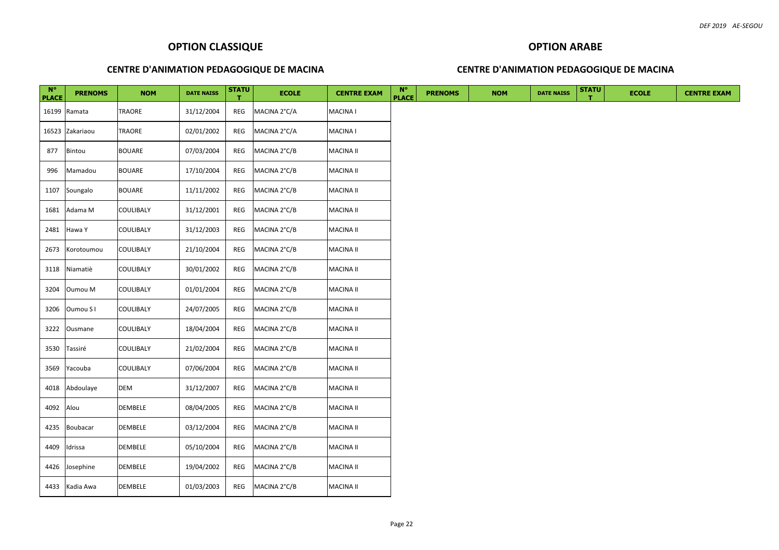## **OPTION ARABE**

## **CENTRE D'ANIMATION PEDAGOGIQUE DE MACINA**

| $N^{\circ}$<br><b>PLACE</b> | <b>PRENOMS</b>  | <b>NOM</b>       | <b>DATE NAISS</b> | <b>STATU</b><br>т. | <b>ECOLE</b> | <b>CENTRE EXAM</b> | $N^{\circ}$<br><b>PLACE</b> | <b>PRENOMS</b> | <b>NOM</b> | <b>DATE NAISS</b> | <b>STATU</b> | <b>ECOLE</b> | <b>CENTRE EXAM</b> |
|-----------------------------|-----------------|------------------|-------------------|--------------------|--------------|--------------------|-----------------------------|----------------|------------|-------------------|--------------|--------------|--------------------|
|                             | 16199 Ramata    | TRAORE           | 31/12/2004        | REG                | MACINA 2°C/A | <b>MACINA I</b>    |                             |                |            |                   |              |              |                    |
|                             | 16523 Zakariaou | TRAORE           | 02/01/2002        | REG                | MACINA 2°C/A | <b>MACINA1</b>     |                             |                |            |                   |              |              |                    |
| 877                         | Bintou          | <b>BOUARE</b>    | 07/03/2004        | REG                | MACINA 2°C/B | <b>MACINA II</b>   |                             |                |            |                   |              |              |                    |
| 996                         | Mamadou         | <b>BOUARE</b>    | 17/10/2004        | REG                | MACINA 2°C/B | <b>MACINA II</b>   |                             |                |            |                   |              |              |                    |
| 1107                        | Soungalo        | <b>BOUARE</b>    | 11/11/2002        | REG                | MACINA 2°C/B | <b>MACINA II</b>   |                             |                |            |                   |              |              |                    |
| 1681                        | Adama M         | COULIBALY        | 31/12/2001        | REG                | MACINA 2°C/B | <b>MACINA II</b>   |                             |                |            |                   |              |              |                    |
| 2481                        | Hawa Y          | COULIBALY        | 31/12/2003        | REG                | MACINA 2°C/B | <b>MACINA II</b>   |                             |                |            |                   |              |              |                    |
| 2673                        | Korotoumou      | COULIBALY        | 21/10/2004        | REG                | MACINA 2°C/B | <b>MACINA II</b>   |                             |                |            |                   |              |              |                    |
| 3118                        | Niamatiè        | COULIBALY        | 30/01/2002        | REG                | MACINA 2°C/B | <b>MACINA II</b>   |                             |                |            |                   |              |              |                    |
| 3204                        | Oumou M         | COULIBALY        | 01/01/2004        | REG                | MACINA 2°C/B | <b>MACINA II</b>   |                             |                |            |                   |              |              |                    |
| 3206                        | Oumou S I       | COULIBALY        | 24/07/2005        | REG                | MACINA 2°C/B | <b>MACINA II</b>   |                             |                |            |                   |              |              |                    |
| 3222                        | Ousmane         | <b>COULIBALY</b> | 18/04/2004        | REG                | MACINA 2°C/B | <b>MACINA II</b>   |                             |                |            |                   |              |              |                    |
| 3530                        | Tassiré         | COULIBALY        | 21/02/2004        | REG                | MACINA 2°C/B | <b>MACINA II</b>   |                             |                |            |                   |              |              |                    |
| 3569                        | Yacouba         | COULIBALY        | 07/06/2004        | REG                | MACINA 2°C/B | <b>MACINA II</b>   |                             |                |            |                   |              |              |                    |
| 4018                        | Abdoulaye       | DEM              | 31/12/2007        | REG                | MACINA 2°C/B | <b>MACINA II</b>   |                             |                |            |                   |              |              |                    |
| 4092                        | Alou            | DEMBELE          | 08/04/2005        | REG                | MACINA 2°C/B | <b>MACINA II</b>   |                             |                |            |                   |              |              |                    |
| 4235                        | Boubacar        | DEMBELE          | 03/12/2004        | REG                | MACINA 2°C/B | <b>MACINA II</b>   |                             |                |            |                   |              |              |                    |
| 4409                        | Idrissa         | <b>DEMBELE</b>   | 05/10/2004        | REG                | MACINA 2°C/B | <b>MACINA II</b>   |                             |                |            |                   |              |              |                    |
|                             | 4426 Josephine  | <b>DEMBELE</b>   | 19/04/2002        | REG                | MACINA 2°C/B | <b>MACINA II</b>   |                             |                |            |                   |              |              |                    |
|                             | 4433 Kadia Awa  | DEMBELE          | 01/03/2003        | REG                | MACINA 2°C/B | <b>MACINA II</b>   |                             |                |            |                   |              |              |                    |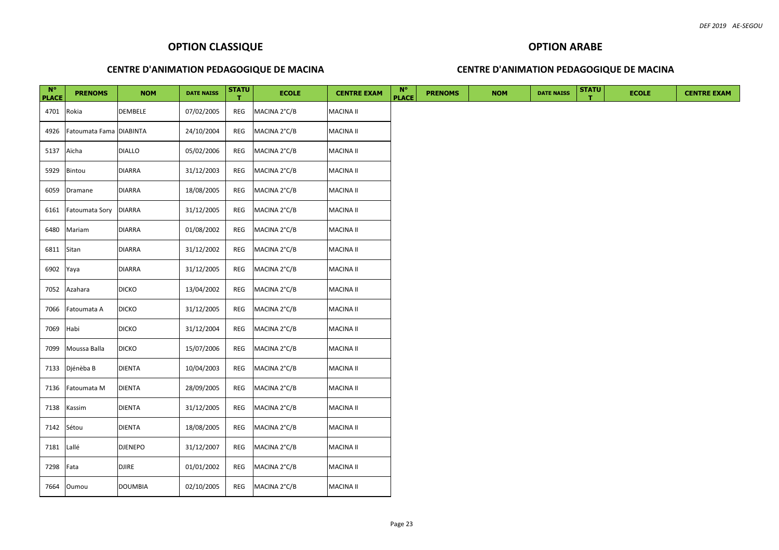## **OPTION ARABE**

## **CENTRE D'ANIMATION PEDAGOGIQUE DE MACINA**

| $N^{\circ}$<br><b>PLACE</b> | <b>PRENOMS</b>          | <b>NOM</b>     | <b>DATE NAISS</b> | <b>STATU</b><br>т. | <b>ECOLE</b> | <b>CENTRE EXAM</b> | $N^{\circ}$<br><b>PLACE</b> | <b>PRENOMS</b> | <b>NOM</b> | <b>DATE NAISS</b> | <b>STATU</b> | <b>ECOLE</b> | <b>CENTRE EXAM</b> |
|-----------------------------|-------------------------|----------------|-------------------|--------------------|--------------|--------------------|-----------------------------|----------------|------------|-------------------|--------------|--------------|--------------------|
| 4701 Rokia                  |                         | DEMBELE        | 07/02/2005        | REG                | MACINA 2°C/B | <b>MACINA II</b>   |                             |                |            |                   |              |              |                    |
| 4926                        | Fatoumata Fama DIABINTA |                | 24/10/2004        | REG                | MACINA 2°C/B | <b>MACINA II</b>   |                             |                |            |                   |              |              |                    |
| 5137                        | Aïcha                   | <b>DIALLO</b>  | 05/02/2006        | REG                | MACINA 2°C/B | <b>MACINA II</b>   |                             |                |            |                   |              |              |                    |
| 5929                        | Bintou                  | <b>DIARRA</b>  | 31/12/2003        | REG                | MACINA 2°C/B | <b>MACINA II</b>   |                             |                |            |                   |              |              |                    |
| 6059                        | Dramane                 | <b>DIARRA</b>  | 18/08/2005        | REG                | MACINA 2°C/B | <b>MACINA II</b>   |                             |                |            |                   |              |              |                    |
| 6161                        | <b>Fatoumata Sory</b>   | <b>DIARRA</b>  | 31/12/2005        | REG                | MACINA 2°C/B | <b>MACINA II</b>   |                             |                |            |                   |              |              |                    |
| 6480                        | Mariam                  | <b>DIARRA</b>  | 01/08/2002        | REG                | MACINA 2°C/B | <b>MACINA II</b>   |                             |                |            |                   |              |              |                    |
| 6811                        | Sitan                   | DIARRA         | 31/12/2002        | REG                | MACINA 2°C/B | <b>MACINA II</b>   |                             |                |            |                   |              |              |                    |
| 6902 Yaya                   |                         | <b>DIARRA</b>  | 31/12/2005        | REG                | MACINA 2°C/B | <b>MACINA II</b>   |                             |                |            |                   |              |              |                    |
| 7052                        | Azahara                 | DICKO          | 13/04/2002        | REG                | MACINA 2°C/B | <b>MACINA II</b>   |                             |                |            |                   |              |              |                    |
| 7066                        | Fatoumata A             | <b>DICKO</b>   | 31/12/2005        | REG                | MACINA 2°C/B | <b>MACINA II</b>   |                             |                |            |                   |              |              |                    |
| 7069                        | Habi                    | <b>DICKO</b>   | 31/12/2004        | REG                | MACINA 2°C/B | <b>MACINA II</b>   |                             |                |            |                   |              |              |                    |
| 7099                        | Moussa Balla            | <b>DICKO</b>   | 15/07/2006        | REG                | MACINA 2°C/B | <b>MACINA II</b>   |                             |                |            |                   |              |              |                    |
|                             | 7133 Djénèba B          | <b>DIENTA</b>  | 10/04/2003        | REG                | MACINA 2°C/B | <b>MACINA II</b>   |                             |                |            |                   |              |              |                    |
| 7136                        | Fatoumata M             | DIENTA         | 28/09/2005        | REG                | MACINA 2°C/B | <b>MACINA II</b>   |                             |                |            |                   |              |              |                    |
| 7138                        | Kassim                  | DIENTA         | 31/12/2005        | REG                | MACINA 2°C/B | <b>MACINA II</b>   |                             |                |            |                   |              |              |                    |
| 7142 Sétou                  |                         | <b>DIENTA</b>  | 18/08/2005        | REG                | MACINA 2°C/B | <b>MACINA II</b>   |                             |                |            |                   |              |              |                    |
| 7181                        | Lallé                   | <b>DJENEPO</b> | 31/12/2007        | REG                | MACINA 2°C/B | <b>MACINA II</b>   |                             |                |            |                   |              |              |                    |
| 7298                        | Fata                    | <b>DJIRE</b>   | 01/01/2002        | REG                | MACINA 2°C/B | <b>MACINA II</b>   |                             |                |            |                   |              |              |                    |
|                             | 7664 Oumou              | <b>DOUMBIA</b> | 02/10/2005        | REG                | MACINA 2°C/B | <b>MACINA II</b>   |                             |                |            |                   |              |              |                    |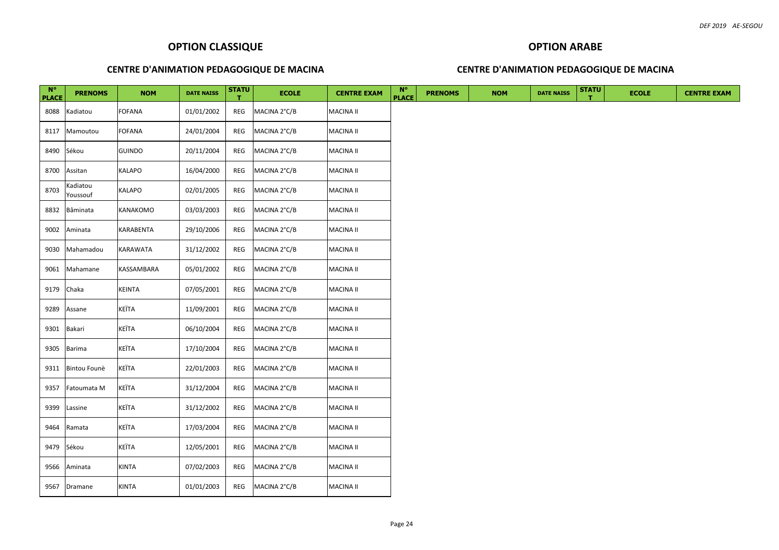## **OPTION ARABE**

## **CENTRE D'ANIMATION PEDAGOGIQUE DE MACINA**

| $N^{\circ}$<br><b>PLACE</b> | <b>PRENOMS</b>       | <b>NOM</b>       | <b>DATE NAISS</b> | <b>STATU</b><br>т | <b>ECOLE</b> | <b>CENTRE EXAM</b> | $N^{\circ}$<br><b>PLACE</b> | <b>PRENOMS</b> | <b>NOM</b> | <b>DATE NAISS</b> | <b>STATU</b> | <b>ECOLE</b> | <b>CENTRE EXAM</b> |
|-----------------------------|----------------------|------------------|-------------------|-------------------|--------------|--------------------|-----------------------------|----------------|------------|-------------------|--------------|--------------|--------------------|
| 8088                        | Kadiatou             | <b>FOFANA</b>    | 01/01/2002        | REG               | MACINA 2°C/B | MACINA II          |                             |                |            |                   |              |              |                    |
| 8117                        | Mamoutou             | <b>FOFANA</b>    | 24/01/2004        | REG               | MACINA 2°C/B | <b>MACINA II</b>   |                             |                |            |                   |              |              |                    |
| 8490                        | Sékou                | <b>GUINDO</b>    | 20/11/2004        | REG               | MACINA 2°C/B | MACINA II          |                             |                |            |                   |              |              |                    |
| 8700                        | Assitan              | <b>KALAPO</b>    | 16/04/2000        | REG               | MACINA 2°C/B | MACINA II          |                             |                |            |                   |              |              |                    |
| 8703                        | Kadiatou<br>Youssouf | <b>KALAPO</b>    | 02/01/2005        | REG               | MACINA 2°C/B | MACINA II          |                             |                |            |                   |              |              |                    |
| 8832                        | Bâminata             | <b>KANAKOMO</b>  | 03/03/2003        | REG               | MACINA 2°C/B | MACINA II          |                             |                |            |                   |              |              |                    |
| 9002                        | Aminata              | <b>KARABENTA</b> | 29/10/2006        | REG               | MACINA 2°C/B | <b>MACINA II</b>   |                             |                |            |                   |              |              |                    |
| 9030                        | Mahamadou            | KARAWATA         | 31/12/2002        | REG               | MACINA 2°C/B | MACINA II          |                             |                |            |                   |              |              |                    |
| 9061                        | Mahamane             | KASSAMBARA       | 05/01/2002        | REG               | MACINA 2°C/B | MACINA II          |                             |                |            |                   |              |              |                    |
| 9179                        | Chaka                | <b>KEINTA</b>    | 07/05/2001        | REG               | MACINA 2°C/B | MACINA II          |                             |                |            |                   |              |              |                    |
| 9289                        | Assane               | KEÏTA            | 11/09/2001        | REG               | MACINA 2°C/B | MACINA II          |                             |                |            |                   |              |              |                    |
| 9301                        | Bakari               | KEÏTA            | 06/10/2004        | REG               | MACINA 2°C/B | <b>MACINA II</b>   |                             |                |            |                   |              |              |                    |
| 9305                        | Barima               | KEÏTA            | 17/10/2004        | REG               | MACINA 2°C/B | MACINA II          |                             |                |            |                   |              |              |                    |
| 9311                        | Bintou Founè         | KEÏTA            | 22/01/2003        | REG               | MACINA 2°C/B | MACINA II          |                             |                |            |                   |              |              |                    |
| 9357                        | Fatoumata M          | KEÏTA            | 31/12/2004        | REG               | MACINA 2°C/B | MACINA II          |                             |                |            |                   |              |              |                    |
| 9399                        | Lassine              | KEÏTA            | 31/12/2002        | REG               | MACINA 2°C/B | MACINA II          |                             |                |            |                   |              |              |                    |
| 9464                        | Ramata               | KEÏTA            | 17/03/2004        | REG               | MACINA 2°C/B | <b>MACINA II</b>   |                             |                |            |                   |              |              |                    |
| 9479                        | Sékou                | KEÏTA            | 12/05/2001        | REG               | MACINA 2°C/B | MACINA II          |                             |                |            |                   |              |              |                    |
| 9566                        | Aminata              | <b>KINTA</b>     | 07/02/2003        | REG               | MACINA 2°C/B | MACINA II          |                             |                |            |                   |              |              |                    |
|                             | 9567 Dramane         | <b>KINTA</b>     | 01/01/2003        | REG               | MACINA 2°C/B | <b>MACINA II</b>   |                             |                |            |                   |              |              |                    |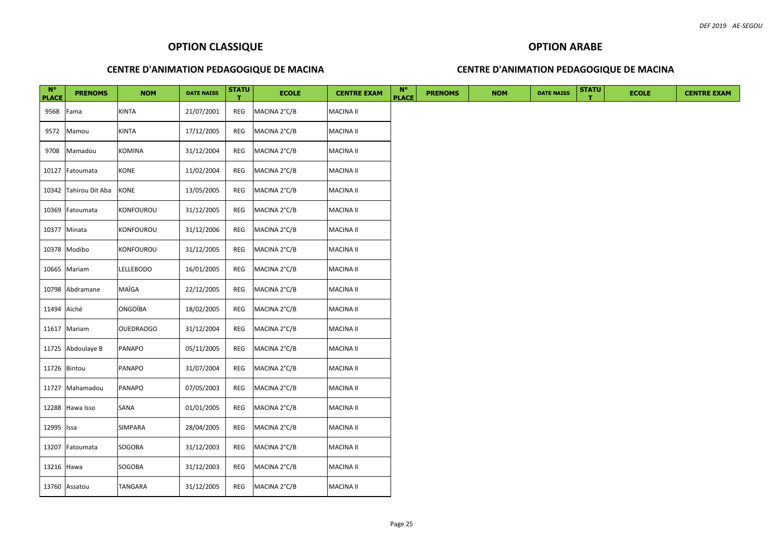## **OPTION ARABE**

## **CENTRE D'ANIMATION PEDAGOGIQUE DE MACINA**

| $N^{\circ}$<br><b>PLACE</b> | <b>PRENOMS</b>        | <b>NOM</b>       | <b>DATE NAISS</b> | <b>STATU</b><br>т. | <b>ECOLE</b> | <b>CENTRE EXAM</b> | $N^{\circ}$<br><b>PLACE</b> | <b>PRENOMS</b> | <b>NOM</b> | <b>DATE NAISS</b> | <b>STATU</b> | <b>ECOLE</b> | <b>CENTRE EXAM</b> |
|-----------------------------|-----------------------|------------------|-------------------|--------------------|--------------|--------------------|-----------------------------|----------------|------------|-------------------|--------------|--------------|--------------------|
| 9568                        | Fama                  | KINTA            | 21/07/2001        | REG                | MACINA 2°C/B | <b>MACINA II</b>   |                             |                |            |                   |              |              |                    |
| 9572                        | Mamou                 | <b>KINTA</b>     | 17/12/2005        | REG                | MACINA 2°C/B | <b>MACINA II</b>   |                             |                |            |                   |              |              |                    |
| 9708                        | Mamadou               | KOMINA           | 31/12/2004        | REG                | MACINA 2°C/B | <b>MACINA II</b>   |                             |                |            |                   |              |              |                    |
|                             | 10127 Fatoumata       | KONE             | 11/02/2004        | REG                | MACINA 2°C/B | <b>MACINA II</b>   |                             |                |            |                   |              |              |                    |
|                             | 10342 Tahirou Dit Aba | KONE             | 13/05/2005        | REG                | MACINA 2°C/B | <b>MACINA II</b>   |                             |                |            |                   |              |              |                    |
|                             | 10369 Fatoumata       | KONFOUROU        | 31/12/2005        | REG                | MACINA 2°C/B | <b>MACINA II</b>   |                             |                |            |                   |              |              |                    |
|                             | 10377 Minata          | KONFOUROU        | 31/12/2006        | REG                | MACINA 2°C/B | <b>MACINA II</b>   |                             |                |            |                   |              |              |                    |
|                             | 10378 Modibo          | KONFOUROU        | 31/12/2005        | REG                | MACINA 2°C/B | <b>MACINA II</b>   |                             |                |            |                   |              |              |                    |
|                             | 10665 Mariam          | LELLEBODO        | 16/01/2005        | REG                | MACINA 2°C/B | <b>MACINA II</b>   |                             |                |            |                   |              |              |                    |
|                             | 10798 Abdramane       | MAÏGA            | 22/12/2005        | REG                | MACINA 2°C/B | <b>MACINA II</b>   |                             |                |            |                   |              |              |                    |
| 11494 Aïché                 |                       | ONGOÏBA          | 18/02/2005        | REG                | MACINA 2°C/B | <b>MACINA II</b>   |                             |                |            |                   |              |              |                    |
|                             | 11617 Mariam          | <b>OUEDRAOGO</b> | 31/12/2004        | REG                | MACINA 2°C/B | <b>MACINA II</b>   |                             |                |            |                   |              |              |                    |
|                             | 11725 Abdoulaye B     | PANAPO           | 05/11/2005        | REG                | MACINA 2°C/B | <b>MACINA II</b>   |                             |                |            |                   |              |              |                    |
|                             | 11726 Bintou          | PANAPO           | 31/07/2004        | REG                | MACINA 2°C/B | <b>MACINA II</b>   |                             |                |            |                   |              |              |                    |
|                             | 11727 Mahamadou       | PANAPO           | 07/05/2003        | REG                | MACINA 2°C/B | <b>MACINA II</b>   |                             |                |            |                   |              |              |                    |
|                             | 12288 Hawa Isso       | SANA             | 01/01/2005        | REG                | MACINA 2°C/B | <b>MACINA II</b>   |                             |                |            |                   |              |              |                    |
| 12995 Issa                  |                       | SIMPARA          | 28/04/2005        | REG                | MACINA 2°C/B | <b>MACINA II</b>   |                             |                |            |                   |              |              |                    |
|                             | 13207 Fatoumata       | SOGOBA           | 31/12/2003        | REG                | MACINA 2°C/B | <b>MACINA II</b>   |                             |                |            |                   |              |              |                    |
| 13216 Hawa                  |                       | SOGOBA           | 31/12/2003        | REG                | MACINA 2°C/B | <b>MACINA II</b>   |                             |                |            |                   |              |              |                    |
|                             | 13760 Assatou         | TANGARA          | 31/12/2005        | REG                | MACINA 2°C/B | <b>MACINA II</b>   |                             |                |            |                   |              |              |                    |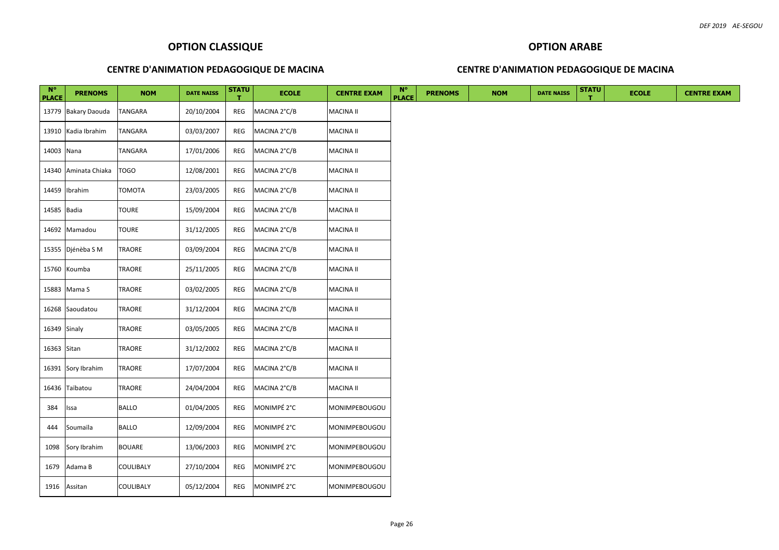## **OPTION ARABE**

## **CENTRE D'ANIMATION PEDAGOGIQUE DE MACINA**

| $N^{\circ}$<br><b>PLACE</b> | <b>PRENOMS</b>       | <b>NOM</b>     | <b>DATE NAISS</b> | <b>STATU</b><br>т. | <b>ECOLE</b> | <b>CENTRE EXAM</b>   | $N^{\circ}$<br><b>PLACE</b> | <b>PRENOMS</b> | <b>NOM</b> | <b>DATE NAISS</b> | <b>STATU</b> | <b>ECOLE</b> | <b>CENTRE EXAM</b> |
|-----------------------------|----------------------|----------------|-------------------|--------------------|--------------|----------------------|-----------------------------|----------------|------------|-------------------|--------------|--------------|--------------------|
|                             | 13779 Bakary Daouda  | TANGARA        | 20/10/2004        | REG                | MACINA 2°C/B | <b>MACINA II</b>     |                             |                |            |                   |              |              |                    |
|                             | 13910 Kadia Ibrahim  | <b>TANGARA</b> | 03/03/2007        | REG                | MACINA 2°C/B | <b>MACINA II</b>     |                             |                |            |                   |              |              |                    |
| 14003 Nana                  |                      | TANGARA        | 17/01/2006        | REG                | MACINA 2°C/B | <b>MACINA II</b>     |                             |                |            |                   |              |              |                    |
|                             | 14340 Aminata Chiaka | <b>TOGO</b>    | 12/08/2001        | REG                | MACINA 2°C/B | <b>MACINA II</b>     |                             |                |            |                   |              |              |                    |
|                             | 14459 Ibrahim        | TOMOTA         | 23/03/2005        | REG                | MACINA 2°C/B | <b>MACINA II</b>     |                             |                |            |                   |              |              |                    |
| 14585 Badia                 |                      | TOURE          | 15/09/2004        | REG                | MACINA 2°C/B | <b>MACINA II</b>     |                             |                |            |                   |              |              |                    |
|                             | 14692 Mamadou        | TOURE          | 31/12/2005        | REG                | MACINA 2°C/B | <b>MACINA II</b>     |                             |                |            |                   |              |              |                    |
|                             | 15355 Djénèba S M    | TRAORE         | 03/09/2004        | REG                | MACINA 2°C/B | <b>MACINA II</b>     |                             |                |            |                   |              |              |                    |
|                             | 15760 Koumba         | TRAORE         | 25/11/2005        | REG                | MACINA 2°C/B | <b>MACINA II</b>     |                             |                |            |                   |              |              |                    |
|                             | 15883 Mama S         | TRAORE         | 03/02/2005        | REG                | MACINA 2°C/B | <b>MACINA II</b>     |                             |                |            |                   |              |              |                    |
|                             | 16268 Saoudatou      | TRAORE         | 31/12/2004        | REG                | MACINA 2°C/B | <b>MACINA II</b>     |                             |                |            |                   |              |              |                    |
| 16349 Sinaly                |                      | TRAORE         | 03/05/2005        | REG                | MACINA 2°C/B | <b>MACINA II</b>     |                             |                |            |                   |              |              |                    |
| 16363 Sitan                 |                      | TRAORE         | 31/12/2002        | REG                | MACINA 2°C/B | <b>MACINA II</b>     |                             |                |            |                   |              |              |                    |
|                             | 16391 Sory Ibrahim   | TRAORE         | 17/07/2004        | REG                | MACINA 2°C/B | <b>MACINA II</b>     |                             |                |            |                   |              |              |                    |
|                             | 16436 Taïbatou       | TRAORE         | 24/04/2004        | REG                | MACINA 2°C/B | <b>MACINA II</b>     |                             |                |            |                   |              |              |                    |
| 384                         | Issa                 | <b>BALLO</b>   | 01/04/2005        | REG                | MONIMPÉ 2°C  | <b>MONIMPEBOUGOU</b> |                             |                |            |                   |              |              |                    |
| 444                         | Soumaïla             | <b>BALLO</b>   | 12/09/2004        | REG                | MONIMPÉ 2°C  | <b>MONIMPEBOUGOU</b> |                             |                |            |                   |              |              |                    |
| 1098                        | Sory Ibrahim         | <b>BOUARE</b>  | 13/06/2003        | REG                | MONIMPÉ 2°C  | <b>MONIMPEBOUGOU</b> |                             |                |            |                   |              |              |                    |
|                             | 1679 Adama B         | COULIBALY      | 27/10/2004        | REG                | MONIMPÉ 2°C  | <b>MONIMPEBOUGOU</b> |                             |                |            |                   |              |              |                    |
|                             | 1916 Assitan         | COULIBALY      | 05/12/2004        | REG                | MONIMPÉ 2°C  | <b>MONIMPEBOUGOU</b> |                             |                |            |                   |              |              |                    |